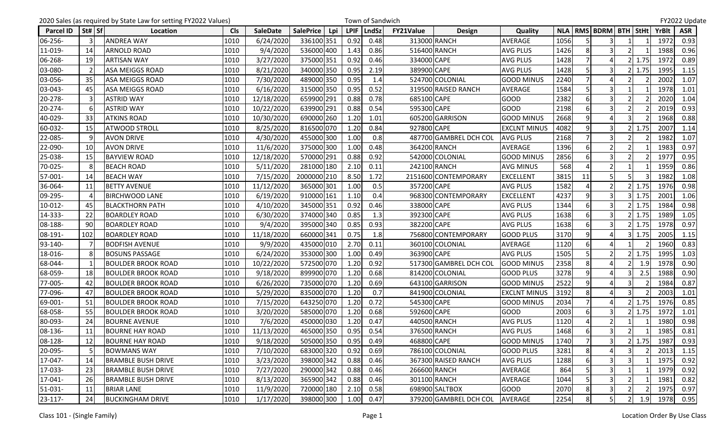|                  |        | 2020 Sales (as required by State Law for setting FY2022 Values) |            |                 |                  |      |             | Town of Sandwich |             |                        |                     |      |                         |                         |                |               |              | FY2022 Update |
|------------------|--------|-----------------------------------------------------------------|------------|-----------------|------------------|------|-------------|------------------|-------------|------------------------|---------------------|------|-------------------------|-------------------------|----------------|---------------|--------------|---------------|
| <b>Parcel ID</b> | St# Sf | Location                                                        | <b>Cls</b> | <b>SaleDate</b> | <b>SalePrice</b> | Lpi  | <b>LPIF</b> | <b>LndSz</b>     | FY21Value   | <b>Design</b>          | Quality             |      |                         | NLA   RMS   BDRM   BTH  |                | StHt          | <b>YrBlt</b> | <b>ASR</b>    |
| 06-256-          |        | <b>ANDREA WAY</b>                                               | 1010       | 6/24/2020       | 336100 351       |      | 0.92        | 0.48             |             | 313000 RANCH           | <b>AVERAGE</b>      | 1056 |                         | 3                       |                |               | 1972         | 0.93          |
| 11-019-          | 14     | <b>ARNOLD ROAD</b>                                              | 1010       | 9/4/2020        | 536000 400       |      | 1.43        | 0.86             |             | 516400 RANCH           | <b>AVG PLUS</b>     | 1426 | 8                       | $\overline{\mathsf{3}}$ |                |               | 1988         | 0.96          |
| 06-268-          | 19     | <b>ARTISAN WAY</b>                                              | 1010       | 3/27/2020       | 375000 351       |      | 0.92        | 0.46             | 334000 CAPE |                        | <b>AVG PLUS</b>     | 1428 |                         | 4                       |                | 1.75          | 1972         | 0.89          |
| 03-080-          |        | <b>ASA MEIGGS ROAD</b>                                          | 1010       | 8/21/2020       | 340000 350       |      | 0.95        | 2.19             | 389900 CAPE |                        | <b>AVG PLUS</b>     | 1428 | 5                       | $\overline{\mathbf{3}}$ |                | 1.75          | 1995         | 1.15          |
| 03-056-          | 35     | <b>ASA MEIGGS ROAD</b>                                          | 1010       | 7/30/2020       | 489000 350       |      | 0.95        | 1.4              |             | 524700 COLONIAL        | <b>GOOD MINUS</b>   | 2240 |                         | $\Delta$                |                |               | 2002         | 1.07          |
| 03-043-          | 45     | <b>ASA MEIGGS ROAD</b>                                          | 1010       | 6/16/2020       | 315000 350       |      | 0.95        | 0.52             |             | 319500 RAISED RANCH    | AVERAGE             | 1584 |                         | 3                       |                |               | 1978         | 1.01          |
| 20-278-          |        | <b>ASTRID WAY</b>                                               | 1010       | 12/18/2020      | 659900 291       |      | 0.88        | 0.78             | 685100 CAPE |                        | GOOD                | 2382 | 6                       | 3                       |                |               | 2020         | 1.04          |
| 20-274-          |        | <b>ASTRID WAY</b>                                               | 10/22/2020 | 639900 291      |                  | 0.88 | 0.54        | 595300 CAPE      |             | <b>GOOD</b>            | 2198                | 6    | $\overline{\mathbf{3}}$ |                         |                | 2019          | 0.93         |               |
| 40-029-          | 33     | <b>ATKINS ROAD</b>                                              | 1010       | 10/30/2020      | 690000 260       |      | 1.20        | 1.01             |             | 605200 GARRISON        | <b>GOOD MINUS</b>   | 2668 | q                       |                         |                |               | 1968         | 0.88          |
| 60-032-          | 15     | <b>ATWOOD STROLL</b>                                            | 1010       | 8/25/2020       | 816500 070       |      | 1.20        | 0.84             | 927800 CAPE |                        | <b>EXCLNT MINUS</b> | 4082 | 9                       | 3                       |                | 1.75          | 2007         | 1.14          |
| 22-085-          |        | <b>AVON DRIVE</b>                                               | 1010       | 4/30/2020       | 455000 300       |      | 1.00        | 0.8              |             | 487700 GAMBREL DCH COL | <b>AVG PLUS</b>     | 2168 |                         | 3                       |                |               | 1982         | 1.07          |
| 22-090-          | 10     | <b>AVON DRIVE</b>                                               | 1010       | 11/6/2020       | 375000 300       |      | 1.00        | 0.48             |             | 364200 RANCH           | AVERAGE             | 1396 | $6 \mid$                | 2 <sub>l</sub>          |                |               | 1983         | 0.97          |
| 25-038-          | 15     | <b>BAYVIEW ROAD</b>                                             | 1010       | 12/18/2020      | 570000 291       |      | 0.88        | 0.92             |             | 542000 COLONIAL        | <b>GOOD MINUS</b>   | 2856 |                         |                         |                |               | 1977         | 0.95          |
| 70-025-          |        | <b>BEACH ROAD</b>                                               | 1010       | 5/11/2020       | 281000 180       |      | 2.10        | 0.11             |             | 242100 RANCH           | <b>AVG MINUS</b>    | 568  |                         | 2 <sub>l</sub>          |                |               | 1959         | 0.86          |
| 57-001-          | 14     | <b>BEACH WAY</b>                                                | 1010       | 7/15/2020       | 2000000 210      |      | 8.50        | 1.72             |             | 2151600 CONTEMPORARY   | <b>EXCELLENT</b>    | 3815 | 11                      | 5                       |                |               | 1982         | 1.08          |
| 36-064-          | 11     | <b>BETTY AVENUE</b>                                             | 1010       | 11/12/2020      | 365000 301       |      | 1.00        | 0.5              | 357200 CAPE |                        | <b>AVG PLUS</b>     | 1582 |                         | 2 <sup>1</sup>          |                | 1.75          | 1976         | 0.98          |
| 09-295-          |        | <b>BIRCHWOOD LANE</b>                                           | 1010       | 6/19/2020       | 910000 161       |      | 1.10        | 0.4              |             | 968300 CONTEMPORARY    | <b>EXCELLENT</b>    | 4237 | 9                       | 3                       |                | 1.75          | 2001         | 1.06          |
| 10-012-          | 45     | <b>BLACKTHORN PATH</b>                                          | 1010       | 4/10/2020       | 345000 351       |      | 0.92        | 0.46             | 338000 CAPE |                        | <b>AVG PLUS</b>     | 1344 | 6                       | 3                       |                | 1.75          | 1984         | 0.98          |
| 14-333-          | 22     | <b>BOARDLEY ROAD</b>                                            | 1010       | 6/30/2020       | 374000 340       |      | 0.85        | 1.3              | 392300 CAPE |                        | <b>AVG PLUS</b>     | 1638 | 6                       | $\overline{\mathbf{3}}$ |                | 1.75          | 1989         | 1.05          |
| 08-188-          | 90     | <b>BOARDLEY ROAD</b>                                            | 1010       | 9/4/2020        | 395000 340       |      | 0.85        | 0.93             | 382200 CAPE |                        | <b>AVG PLUS</b>     | 1638 | 6                       | $\overline{3}$          |                | 1.75          | 1978         | 0.97          |
| 08-191-          | 102    | <b>BOARDLEY ROAD</b>                                            | 1010       | 11/18/2020      | 660000 341       |      | 0.75        | 1.8              |             | 756800 CONTEMPORARY    | <b>GOOD PLUS</b>    | 3170 | 9                       |                         |                | 1.75          | 2005         | 1.15          |
| 93-140-          |        | <b>BODFISH AVENUE</b>                                           | 1010       | 9/9/2020        | 435000 010       |      | 2.70        | 0.11             |             | 360100 COLONIAL        | AVERAGE             | 1120 | 6                       | Δ                       |                |               | 1960         | 0.83          |
| 18-016-          |        | <b>BOSUNS PASSAGE</b>                                           | 1010       | 6/24/2020       | 353000 300       |      | 1.00        | 0.49             | 363900 CAPE |                        | <b>AVG PLUS</b>     | 1505 |                         | $\mathfrak{p}$          |                | 1.75          | 1995         | 1.03          |
| 68-044-          |        | <b>BOULDER BROOK ROAD</b>                                       | 1010       | 10/22/2020      | 572500 070       |      | 1.20        | 0.92             |             | 517300 GAMBREL DCH COL | <b>GOOD MINUS</b>   | 2358 | 8                       |                         |                | 1.9           | 1978         | 0.90          |
| 68-059-          | 18     | <b>BOULDER BROOK ROAD</b>                                       | 1010       | 9/18/2020       | 899900 070       |      | 1.20        | 0.68             |             | 814200 COLONIAL        | <b>GOOD PLUS</b>    | 3278 | 9                       |                         |                | 2.5           | 1988         | 0.90          |
| 77-005-          | 42     | <b>BOULDER BROOK ROAD</b>                                       | 1010       | 6/26/2020       | 735000 070       |      | 1.20        | 0.69             |             | 643100 GARRISON        | <b>GOOD MINUS</b>   | 2522 | $\overline{9}$          | $\Delta$                | З              |               | 1984         | 0.87          |
| 77-096-          | 47     | <b>BOULDER BROOK ROAD</b>                                       | 1010       | 5/29/2020       | 835000 070       |      | 1.20        | 0.7              |             | 841900 COLONIAL        | <b>EXCLNT MINUS</b> | 3192 | 8                       | $\overline{a}$          | $\overline{3}$ |               | 2003         | 1.01          |
| 69-001-          | 51     | <b>BOULDER BROOK ROAD</b>                                       | 1010       | 7/15/2020       | 643250 070       |      | 1.20        | 0.72             | 545300 CAPE |                        | <b>GOOD MINUS</b>   | 2034 |                         |                         |                | 1.75          | 1976         | 0.85          |
| 68-058-          | 55     | <b>BOULDER BROOK ROAD</b>                                       | 1010       | 3/20/2020       | 585000 070       |      | 1.20        | 0.68             | 592600 CAPE |                        | <b>GOOD</b>         | 2003 | 6                       | 3                       |                | 1.75          | 1972         | 1.01          |
| 80-093-          | 24     | <b>BOURNE AVENUE</b>                                            | 1010       | 7/6/2020        | 450000 030       |      | 1.20        | 0.47             |             | 440500 RANCH           | <b>AVG PLUS</b>     | 1120 |                         | $\overline{2}$          |                |               | 1980         | 0.98          |
| 08-136-          | 11     | <b>BOURNE HAY ROAD</b>                                          | 1010       | 11/13/2020      | 465000 350       |      | 0.95        | 0.54             |             | 376500 RANCH           | <b>AVG PLUS</b>     | 1468 | $6 \mid$                | 3                       |                |               | 1985         | 0.81          |
| 08-128-          | 12     | <b>BOURNE HAY ROAD</b>                                          | 1010       | 9/18/2020       | 505000 350       |      | 0.95        | 0.49             | 468800 CAPE |                        | <b>GOOD MINUS</b>   | 1740 | 7                       | 3                       |                | $2 \mid 1.75$ | 1987         | 0.93          |
| 20-095-          |        | <b>BOWMANS WAY</b>                                              | 1010       | 7/10/2020       | 683000 320       |      | 0.92        | 0.69             |             | 786100 COLONIAL        | <b>GOOD PLUS</b>    | 3281 | 8                       | $\overline{4}$          | 3I             |               | 2013         | 1.15          |
| 17-047-          | 14     | <b>BRAMBLE BUSH DRIVE</b>                                       | 1010       | 3/23/2020       | 398000 342       |      | 0.88        | 0.46             |             | 367300 RAISED RANCH    | <b>AVG PLUS</b>     | 1288 |                         | 3                       |                |               | 1975         | 0.92          |
| 17-033-          | 23     | <b>BRAMBLE BUSH DRIVE</b>                                       | 1010       | 7/27/2020       | 290000 342       |      | 0.88        | 0.46             |             | 266600 RANCH           | AVERAGE             | 864  |                         | $\overline{\mathbf{3}}$ |                |               | 1979         | 0.92          |
| 17-041-          | 26     | <b>BRAMBLE BUSH DRIVE</b>                                       | 1010       | 8/13/2020       | 365900 342       |      | 0.88        | 0.46             |             | 301100 RANCH           | AVERAGE             | 1044 |                         |                         |                |               | 1981         | 0.82          |
| 51-031-          | 11     | <b>BRIAR LANE</b>                                               | 1010       | 11/9/2020       | 720000 180       |      | 2.10        | 0.58             |             | 698900 SALTBOX         | <b>GOOD</b>         | 2070 | 8                       | 3                       |                |               | 1975         | 0.97          |
| $23 - 117$       | 24     | <b>BUCKINGHAM DRIVE</b>                                         | 1010       | 1/17/2020       | 398000 300       |      | 1.00        | 0.47             |             | 379200 GAMBREL DCH COL | AVERAGE             | 2254 | 8                       | 5 <sub>l</sub>          |                | 1.9           | 1978         | 0.95          |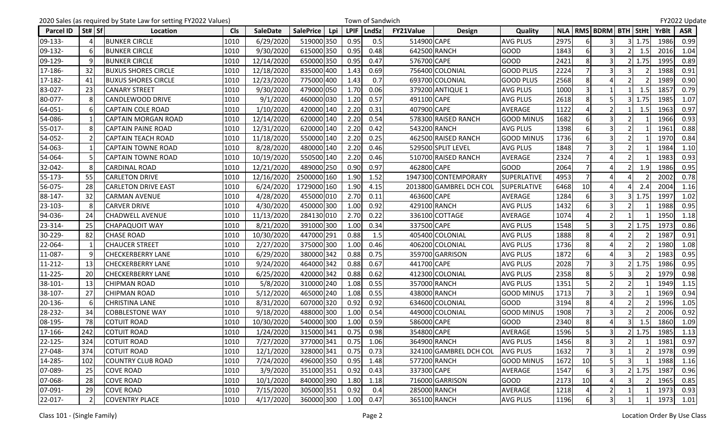|                  |                | 2020 Sales (as required by State Law for setting FY2022 Values) |            |                 |                         |             | Town of Sandwich |                  |                         |                    |      |                |                               |               |      |       | FY2022 Update |
|------------------|----------------|-----------------------------------------------------------------|------------|-----------------|-------------------------|-------------|------------------|------------------|-------------------------|--------------------|------|----------------|-------------------------------|---------------|------|-------|---------------|
| <b>Parcel ID</b> | St# Sf         | Location                                                        | <b>Cls</b> | <b>SaleDate</b> | <b>SalePrice</b><br>Lpi | <b>LPIF</b> | LndSz            | <b>FY21Value</b> | <b>Design</b>           | Quality            |      |                | NLA   RMS   BDRM   BTH   StHt |               |      | YrBlt | <b>ASR</b>    |
| 09-133-          |                | <b>BUNKER CIRCLE</b>                                            | 1010       | 6/29/2020       | 519000 350              | 0.95        | 0.5              | 514900 CAPE      |                         | <b>AVG PLUS</b>    | 2975 |                | 3                             |               | 1.75 | 1986  | 0.99          |
| 09-132-          |                | <b>BUNKER CIRCLE</b>                                            | 1010       | 9/30/2020       | 615000 350              | 0.95        | 0.48             |                  | 642500 RANCH            | <b>GOOD</b>        | 1843 | 6              | 3                             |               | 1.5  | 2016  | 1.04          |
| 09-129-          |                | <b>BUNKER CIRCLE</b>                                            | 1010       | 12/14/2020      | 650000 350              | 0.95        | 0.47             | 576700 CAPE      |                         | <b>GOOD</b>        | 2421 | 8              | 3                             |               | 1.75 | 1995  | 0.89          |
| 17-186-          | 32             | <b>BUXUS SHORES CIRCLE</b>                                      | 1010       | 12/18/2020      | 835000 400              | 1.43        | 0.69             |                  | 756400 COLONIAL         | <b>GOOD PLUS</b>   | 2224 |                | 3                             |               |      | 1988  | 0.91          |
| 17-182-          | 41             | <b>BUXUS SHORES CIRCLE</b>                                      | 1010       | 12/23/2020      | 775000 400              | 1.43        | 0.7              |                  | 693700 COLONIAL         | <b>GOOD PLUS</b>   | 2568 | 8              |                               |               |      | 1989  | 0.90          |
| 83-027-          | 23             | <b>CANARY STREET</b>                                            | 1010       | 9/30/2020       | 479000 050              | 1.70        | 0.06             |                  | 379200 ANTIQUE 1        | <b>AVG PLUS</b>    | 1000 | $\overline{3}$ |                               |               | 1.5  | 1857  | 0.79          |
| 80-077-          |                | CANDLEWOOD DRIVE                                                | 1010       | 9/1/2020        | 460000 030              | 1.20        | 0.57             | 491100 CAPE      |                         | <b>AVG PLUS</b>    | 2618 | 8              | 5                             |               | 1.75 | 1985  | 1.07          |
| 64-051-          |                | <b>CAPTAIN COLE ROAD</b>                                        | 1010       | 1/10/2020       | 420000 140              | 2.20        | 0.31             | 407900 CAPE      |                         | AVERAGE            | 1122 |                |                               |               | 1.5  | 1963  | 0.97          |
| 54-086-          |                | <b>CAPTAIN MORGAN ROAD</b>                                      | 1010       | 12/14/2020      | 620000 140              | 2.20        | 0.54             |                  | 578300 RAISED RANCH     | <b>GOOD MINUS</b>  | 1682 | 6              | 3                             |               |      | 1966  | 0.93          |
| 55-017-          | 8              | <b>CAPTAIN PAINE ROAD</b>                                       | 1010       | 12/31/2020      | 620000 140              | 2.20        | 0.42             |                  | 543200 RANCH            | <b>AVG PLUS</b>    | 1398 | 6              | 3                             | $\mathcal{P}$ |      | 1961  | 0.88          |
| 54-052-          |                | <b>CAPTAIN TEACH ROAD</b>                                       | 1010       | 11/18/2020      | 550000 140              | 2.20        | 0.25             |                  | 462500 RAISED RANCH     | <b>GOOD MINUS</b>  | 1736 | 6              | $\overline{3}$                |               |      | 1970  | 0.84          |
| 54-063-          |                | <b>CAPTAIN TOWNE ROAD</b>                                       | 1010       | 8/28/2020       | 480000 140              | 2.20        | 0.46             |                  | 529500 SPLIT LEVEL      | <b>AVG PLUS</b>    | 1848 |                | 3                             |               |      | 1984  | 1.10          |
| 54-064-          |                | <b>CAPTAIN TOWNE ROAD</b>                                       | 1010       | 10/19/2020      | 550500 140              | 2.20        | 0.46             |                  | 510700 RAISED RANCH     | AVERAGE            | 2324 |                | Δ                             |               |      | 1983  | 0.93          |
| 32-042-          |                | <b>CARDINAL ROAD</b>                                            | 1010       | 12/21/2020      | 489000 250              | 0.90        | 0.97             | 462800 CAPE      |                         | <b>GOOD</b>        | 2064 |                | Δ                             |               | 1.9  | 1986  | 0.95          |
| 55-173-          | 55             | <b>CARLETON DRIVE</b>                                           | 1010       | 12/16/2020      | 2500000 160             | 1.90        | 1.52             |                  | 1947300 CONTEMPORARY    | <b>SUPERLATIVE</b> | 4953 | $\overline{7}$ | Δ                             |               |      | 2002  | 0.78          |
| 56-075-          | 28             | <b>CARLETON DRIVE EAST</b>                                      | 1010       | 6/24/2020       | 1729000 160             | 1.90        | 4.15             |                  | 2013800 GAMBREL DCH COL | <b>SUPERLATIVE</b> | 6468 | 10             |                               |               |      | 2004  | 1.16          |
| 88-147-          | 32             | <b>CARMAN AVENUE</b>                                            | 1010       | 4/28/2020       | 455000 010              | 2.70        | 0.11             | 463600 CAPE      |                         | <b>AVERAGE</b>     | 1284 | 6              | $\overline{\mathbf{3}}$       |               | 1.75 | 1997  | 1.02          |
| 23-103-          |                | <b>CARVER DRIVE</b>                                             | 1010       | 4/30/2020       | 450000 300              | 1.00        | 0.92             |                  | 429100 RANCH            | <b>AVG PLUS</b>    | 1432 | 6              | 3                             |               |      | 1988  | 0.95          |
| 94-036-          | 24             | <b>CHADWELL AVENUE</b>                                          | 1010       | 11/13/2020      | 284130 010              | 2.70        | 0.22             |                  | 336100 COTTAGE          | AVERAGE            | 1074 |                | $\overline{2}$                |               |      | 1950  | 1.18          |
| 23-314-          | 25             | <b>CHAPAQUOIT WAY</b>                                           | 1010       | 8/21/2020       | 391000 300              | 1.00        | 0.34             | 337500 CAPE      |                         | <b>AVG PLUS</b>    | 1548 |                | $\overline{3}$                |               | 1.75 | 1973  | 0.86          |
| 30-229-          | 82             | <b>CHASE ROAD</b>                                               | 1010       | 10/30/2020      | 447000 291              | 0.88        | 1.5              |                  | 405400 COLONIAL         | <b>AVG PLUS</b>    | 1888 | 8              | 4                             |               |      | 1987  | 0.91          |
| 22-064-          |                | <b>CHAUCER STREET</b>                                           | 1010       | 2/27/2020       | 375000 300              | 1.00        | 0.46             |                  | 406200 COLONIAL         | <b>AVG PLUS</b>    | 1736 | 8              | $\overline{a}$                |               |      | 1980  | 1.08          |
| 11-087-          |                | <b>CHECKERBERRY LANE</b>                                        | 1010       | 6/29/2020       | 380000 342              | 0.88        | 0.75             |                  | 359700 GARRISON         | <b>AVG PLUS</b>    | 1872 | 6              | Δ                             |               |      | 1983  | 0.95          |
| 11-212-          | 13             | <b>CHECKERBERRY LANE</b>                                        | 1010       | 9/24/2020       | 464000 342              | 0.88        | 0.67             | 441700 CAPE      |                         | <b>AVG PLUS</b>    | 2028 |                | 3                             |               | 1.75 | 1986  | 0.95          |
| 11-225-          | 20             | <b>CHECKERBERRY LANE</b>                                        | 1010       | 6/25/2020       | 420000 342              | 0.88        | 0.62             |                  | 412300 COLONIAL         | <b>AVG PLUS</b>    | 2358 | 8              | 5                             |               |      | 1979  | 0.98          |
| 38-101-          | 13             | <b>CHIPMAN ROAD</b>                                             | 1010       | 5/8/2020        | 310000 240              | 1.08        | 0.55             |                  | 357000 RANCH            | <b>AVG PLUS</b>    | 1351 | 5              | $\overline{2}$                |               |      | 1949  | 1.15          |
| 38-107-          | 27             | <b>CHIPMAN ROAD</b>                                             | 1010       | 5/12/2020       | 465000 240              | 1.08        | 0.55             |                  | 438000 RANCH            | <b>GOOD MINUS</b>  | 1713 |                | 3                             |               |      | 1969  | 0.94          |
| 20-136-          |                | <b>CHRISTINA LANE</b>                                           | 1010       | 8/31/2020       | 607000 320              | 0.92        | 0.92             |                  | 634600 COLONIAL         | <b>GOOD</b>        | 3194 | 8              |                               |               |      | 1996  | 1.05          |
| 28-232-          | 34             | <b>COBBLESTONE WAY</b>                                          | 1010       | 9/18/2020       | 488000 300              | 1.00        | 0.54             |                  | 449000 COLONIAL         | <b>GOOD MINUS</b>  | 1908 |                | 3                             |               |      | 2006  | 0.92          |
| 08-195-          | 78             | <b>COTUIT ROAD</b>                                              | 1010       | 10/30/2020      | 540000 300              | 1.00        | 0.59             | 586000 CAPE      |                         | <b>GOOD</b>        | 2340 | 8              |                               |               | 1.5  | 1860  | 1.09          |
| 17-166-          | 242            | <b>COTUIT ROAD</b>                                              | 1010       | 1/24/2020       | 315000 341              | 0.75        | 0.98             | 354800 CAPE      |                         | <b>AVERAGE</b>     | 1596 | 5 <sup>1</sup> | $\overline{3}$                |               | 1.75 | 1985  | 1.13          |
| 22-125-          | 324            | <b>COTUIT ROAD</b>                                              | 1010       | 7/27/2020       | 377000 341              | 0.75        | 1.06             |                  | 364900 RANCH            | <b>AVG PLUS</b>    | 1456 | 8              | $\overline{\mathbf{3}}$       | 2             |      | 1981  | 0.97          |
| 27-048-          | 374            | <b>COTUIT ROAD</b>                                              | 1010       | 12/1/2020       | 328000 341              | 0.75        | 0.73             |                  | 324100 GAMBREL DCH COL  | <b>AVG PLUS</b>    | 1632 |                | 3                             |               |      | 1978  | 0.99          |
| 14-285-          | 102            | <b>COUNTRY CLUB ROAD</b>                                        | 1010       | 7/24/2020       | 496000 350              | 0.95        | 1.48             |                  | 577200 RANCH            | <b>GOOD MINUS</b>  | 1672 | 10             |                               |               |      | 1988  | 1.16          |
| 07-089-          | 25             | <b>COVE ROAD</b>                                                | 1010       | 3/9/2020        | 351000 351              | 0.92        | 0.43             | 337300 CAPE      |                         | <b>AVERAGE</b>     | 1547 | 6              | 3                             |               | 1.75 | 1987  | 0.96          |
| 07-068-          | 28             | <b>COVE ROAD</b>                                                | 1010       | 10/1/2020       | 840000 390              | 1.80        | 1.18             |                  | 716000 GARRISON         | <b>GOOD</b>        | 2173 | 10             | 4                             |               |      | 1965  | 0.85          |
| 07-091-          | 29             | <b>COVE ROAD</b>                                                | 1010       | 7/15/2020       | 305000 351              | 0.92        | 0.4              |                  | 285000 RANCH            | AVERAGE            | 1218 |                | $\overline{2}$                |               |      | 1973  | 0.93          |
| 22-017-          | $\overline{2}$ | <b>COVENTRY PLACE</b>                                           | 1010       | 4/17/2020       | 360000 300              | 1.00        | 0.47             |                  | 365100 RANCH            | <b>AVG PLUS</b>    | 1196 | 6              | 3 <sup>1</sup>                | -1            |      | 1973  | 1.01          |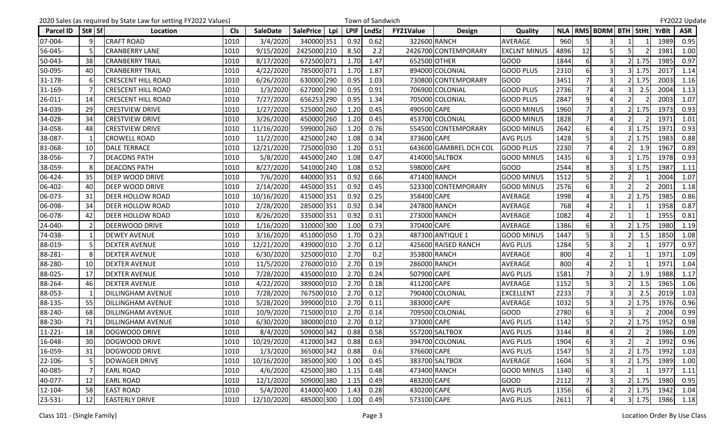|                  |           | 2020 Sales (as required by State Law for setting FY2022 Values) |            |                 |                         |             | Town of Sandwich |                  |                        |                     |      |                |                               |               |              | FY2022 Update |
|------------------|-----------|-----------------------------------------------------------------|------------|-----------------|-------------------------|-------------|------------------|------------------|------------------------|---------------------|------|----------------|-------------------------------|---------------|--------------|---------------|
| <b>Parcel ID</b> | St#   Sf  | Location                                                        | <b>Cls</b> | <b>SaleDate</b> | <b>SalePrice</b><br>Lpi | <b>LPIF</b> | <b>LndSz</b>     | <b>FY21Value</b> | <b>Design</b>          | Quality             |      |                | NLA   RMS   BDRM   BTH   StHt |               | <b>YrBlt</b> | <b>ASR</b>    |
| 07-004-          | q         | <b>CRAFT ROAD</b>                                               | 1010       | 3/4/2020        | 340000 351              | 0.92        | 0.62             |                  | 322600 RANCH           | AVERAGE             | 960  |                | 3                             |               | 1989         | 0.95          |
| 56-045-          |           | <b>CRANBERRY LANE</b>                                           | 1010       | 9/15/2020       | 2425000 210             | 8.50        | 2.2              |                  | 2426700 CONTEMPORARY   | <b>EXCLNT MINUS</b> | 4896 | 12             | 5                             |               | 1981         | 1.00          |
| 50-043-          | 38        | <b>CRANBERRY TRAIL</b>                                          | 1010       | 8/17/2020       | 672500 071              | 1.70        | 1.47             |                  | 652500 OTHER           | <b>GOOD</b>         | 1844 | 6              | $\overline{3}$                | 1.75          | 1985         | 0.97          |
| 50-095-          | 40        | <b>CRANBERRY TRAIL</b>                                          | 1010       | 4/22/2020       | 785000 071              | 1.70        | 1.87             |                  | 894000 COLONIAL        | <b>GOOD PLUS</b>    | 2310 |                |                               | 1.75          | 2017         | 1.14          |
| 31-178-          |           | <b>CRESCENT HILL ROAD</b>                                       | 1010       | 6/26/2020       | 630000 290              | 0.95        | 1.03             |                  | 730800 CONTEMPORARY    | <b>GOOD</b>         | 3451 |                | $\overline{\mathbf{3}}$       | 1.75          | 2003         | 1.16          |
| 31-169-          |           | <b>CRESCENT HILL ROAD</b>                                       | 1010       | 1/3/2020        | 627000 290              | 0.95        | 0.91             |                  | 706900 COLONIAL        | <b>GOOD PLUS</b>    | 2736 |                | Δ                             | 2.5           | 2004         | 1.13          |
| 26-011-          | 14        | <b>CRESCENT HILL ROAD</b>                                       | 1010       | 7/27/2020       | 656253 290              | 0.95        | 1.34             |                  | 705000 COLONIAL        | <b>GOOD PLUS</b>    | 2847 | $\overline{9}$ | Δ                             |               | 2003         | 1.07          |
| 34-039-          | 29        | <b>CRESTVIEW DRIVE</b>                                          | 1010       | 1/27/2020       | 525000 260              | 1.20        | 0.45             | 490500 CAPE      |                        | <b>GOOD MINUS</b>   | 1960 |                |                               | 1.75          | 1973         | 0.93          |
| 34-028-          | 34        | <b>CRESTVIEW DRIVE</b>                                          | 1010       | 3/26/2020       | 450000 260              | 1.20        | 0.45             |                  | 453700 COLONIAL        | <b>GOOD MINUS</b>   | 1828 |                | Δ                             |               | 197          | 1.01          |
| 34-058-          | 48        | <b>CRESTVIEW DRIVE</b>                                          | 1010       | 11/16/2020      | 599000 260              | 1.20        | 0.76             |                  | 554500 CONTEMPORARY    | <b>GOOD MINUS</b>   | 2642 |                |                               | 1.75          | 197          | 0.93          |
| 38-087-          |           | <b>CROWELL ROAD</b>                                             | 1010       | 11/2/2020       | 425000 240              | 1.08        | 0.34             | 373600 CAPE      |                        | <b>AVG PLUS</b>     | 1428 | 5              | $\overline{3}$                | 1.75          | 1983         | 0.88          |
| 81-068-          | 10        | <b>DALE TERRACE</b>                                             | 1010       | 12/21/2020      | 725000 030              | 1.20        | 0.51             |                  | 643600 GAMBREL DCH COL | <b>GOOD PLUS</b>    | 2230 |                |                               | 1.9           | 1967         | 0.89          |
| 38-056-          |           | <b>DEACONS PATH</b>                                             | 1010       | 5/8/2020        | 445000 240              | 1.08        | 0.47             |                  | 414000 SALTBOX         | <b>GOOD MINUS</b>   | 1435 | 6              | $\overline{\mathbf{3}}$       | 1.75          | 1978         | 0.93          |
| 38-059-          |           | <b>DEACONS PATH</b>                                             | 1010       | 8/27/2020       | 541000 240              | 1.08        | 0.52             | 598000 CAPE      |                        | <b>GOOD</b>         | 2544 | 8              | $\overline{3}$                | 1.75          | 1987         | 1.11          |
| 06-424-          | 35        | <b>DEEP WOOD DRIVE</b>                                          | 1010       | 7/6/2020        | 440000 351              | 0.92        | 0.66             |                  | 471400 RANCH           | <b>GOOD MINUS</b>   | 1512 | 5              | $\overline{2}$                |               | 2004         | 1.07          |
| 06-402-          | 40        | <b>DEEP WOOD DRIVE</b>                                          | 1010       | 2/14/2020       | 445000 351              | 0.92        | 0.45             |                  | 523300 CONTEMPORARY    | <b>GOOD MINUS</b>   | 2576 |                | $\overline{3}$                |               | 2001         | 1.18          |
| 06-073-          | 31        | <b>DEER HOLLOW ROAD</b>                                         | 1010       | 10/16/2020      | 415000 351              | 0.92        | 0.25             | 358400 CAPE      |                        | <b>AVERAGE</b>      | 1998 |                | 3                             | 1.75          | 1985         | 0.86          |
| 06-098-          | 34        | <b>DEER HOLLOW ROAD</b>                                         | 1010       | 2/28/2020       | 285000 351              | 0.92        | 0.34             |                  | 247800 RANCH           | AVERAGE             | 768  |                | $\overline{2}$                |               | 1958         | 0.87          |
| 06-078-          | 42        | <b>DEER HOLLOW ROAD</b>                                         | 1010       | 8/26/2020       | 335000 351              | 0.92        | 0.31             |                  | 273000 RANCH           | AVERAGE             | 1082 |                | $\overline{2}$                |               | 1955         | 0.81          |
| 24-040-          |           | <b>DEERWOOD DRIVE</b>                                           | 1010       | 1/16/2020       | 310000 300              | 1.00        | 0.73             | 370400 CAPE      |                        | <b>AVERAGE</b>      | 1386 |                | 3                             | 1.75          | 1980         | 1.19          |
| 74-038-          |           | <b>DEWEY AVENUE</b>                                             | 1010       | 3/16/2020       | 451000 050              | 1.70        | 0.23             |                  | 487300 ANTIQUE 1       | <b>GOOD MINUS</b>   | 1447 |                | 3                             | 1.5           | 1850         | 1.08          |
| 88-019-          |           | <b>DEXTER AVENUE</b>                                            | 1010       | 12/21/2020      | 439000 010              | 2.70        | 0.12             |                  | 425600 RAISED RANCH    | <b>AVG PLUS</b>     | 1284 |                | 3                             |               | 1977         | 0.97          |
| 88-281-          |           | <b>DEXTER AVENUE</b>                                            | 1010       | 6/30/2020       | 325000 010              | 2.70        | 0.2              |                  | 353800 RANCH           | AVERAGE             | 800  |                | $\mathfrak{p}$                |               | 1971         | 1.09          |
| 88-280-          | 10        | <b>DEXTER AVENUE</b>                                            | 1010       | 11/5/2020       | 276000 010              | 2.70        | 0.19             |                  | 286000 RANCH           | <b>AVERAGE</b>      | 800  |                | $\overline{2}$                |               | 197          | 1.04          |
| 88-025-          | 17        | <b>DEXTER AVENUE</b>                                            | 1010       | 7/28/2020       | 435000 010              | 2.70        | 0.24             | 507900 CAPE      |                        | <b>AVG PLUS</b>     | 1581 |                | 3                             | 1.9           | 1988         | 1.17          |
| 88-264-          | 46        | <b>DEXTER AVENUE</b>                                            | 1010       | 4/22/2020       | 389000 010              | 2.70        | 0.18             | 411200 CAPE      |                        | AVERAGE             | 1152 | 5              | $\overline{3}$                | 1.5           | 1965         | 1.06          |
| 88-053-          |           | <b>DILLINGHAM AVENUE</b>                                        | 1010       | 7/28/2020       | 767500 010              | 2.70        | 0.12             |                  | 790400 COLONIAL        | <b>EXCELLENT</b>    | 2233 |                | 3                             | 2.5           | 2019         | 1.03          |
| 88-135-          | 55        | <b>DILLINGHAM AVENUE</b>                                        | 1010       | 5/28/2020       | 399000 010              | 2.70        | 0.11             | 383000 CAPE      |                        | AVERAGE             | 1032 | 5              | 3                             | 1.75          | 1976         | 0.96          |
| 88-240-          | 68        | <b>DILLINGHAM AVENUE</b>                                        | 1010       | 10/9/2020       | 715000 010              | 2.70        | 0.14             |                  | 709500 COLONIAL        | <b>GOOD</b>         | 2780 | 6              | 3                             |               | 2004         | 0.99          |
| 88-230-          | 71        | <b>DILLINGHAM AVENUE</b>                                        | 1010       | 6/30/2020       | 380000 010              | 2.70        | 0.12             | 373000 CAPE      |                        | <b>AVG PLUS</b>     | 1142 | 5              | $\overline{2}$                | 1.75          | 1952         | 0.98          |
| $11 - 221 -$     | <b>18</b> | DOGWOOD DRIVE                                                   | 1010       | 8/4/2020        | 509000 342              | 0.88        | 0.58             |                  | 557200 SALTBOX         | <b>AVG PLUS</b>     | 3144 | 8 <sup>1</sup> | 4                             |               | 1986         | 1.09          |
| 16-048-          | 30        | DOGWOOD DRIVE                                                   | 1010       | 10/29/2020      | 412000 342              | 0.88        | 0.63             |                  | 394700 COLONIAL        | <b>AVG PLUS</b>     | 1904 | 6              | 3                             |               | 1992         | 0.96          |
| 16-059-          | 31        | DOGWOOD DRIVE                                                   | 1010       | 1/3/2020        | 365000 342              | 0.88        | 0.6              | 376600 CAPE      |                        | <b>AVG PLUS</b>     | 1547 |                | $\mathcal{P}$                 | 1.75          | 1992         | 1.03          |
| 22-106-          |           | DOWAGER DRIVE                                                   | 1010       | 10/16/2020      | 385000 300              | 1.00        | 0.45             |                  | 383700 SALTBOX         | AVERAGE             | 1604 | 5              | $\overline{\mathbf{3}}$       | 1.75          | 1989         | 1.00          |
| 40-085-          |           | <b>EARL ROAD</b>                                                | 1010       | 4/6/2020        | 425000 380              | 1.15        | 0.48             |                  | 473400 RANCH           | <b>GOOD MINUS</b>   | 1340 |                |                               |               | 1977         | 1.11          |
| 40-077-          | 12        | <b>EARL ROAD</b>                                                | 1010       | 12/1/2020       | 509000 380              | 1.15        | 0.49             | 483200 CAPE      |                        | <b>GOOD</b>         | 2112 |                | $\overline{3}$                | 1.75          | 1980         | 0.95          |
| 12-104-          | 58        | <b>EAST ROAD</b>                                                | 1010       | 5/4/2020        | 414000 400              | 1.43        | 0.28             | 430200 CAPE      |                        | <b>AVG PLUS</b>     | 1356 |                | $\overline{2}$                | 1.75          | 1942         | 1.04          |
| 23-531-          | 12        | <b>EASTERLY DRIVE</b>                                           | 1010       | 12/10/2020      | 485000 300              | 1.00        | 0.49             | 573100 CAPE      |                        | <b>AVG PLUS</b>     | 2611 | 7 <sup>1</sup> | $\overline{4}$                | $3 \mid 1.75$ | 1986         | 1.18          |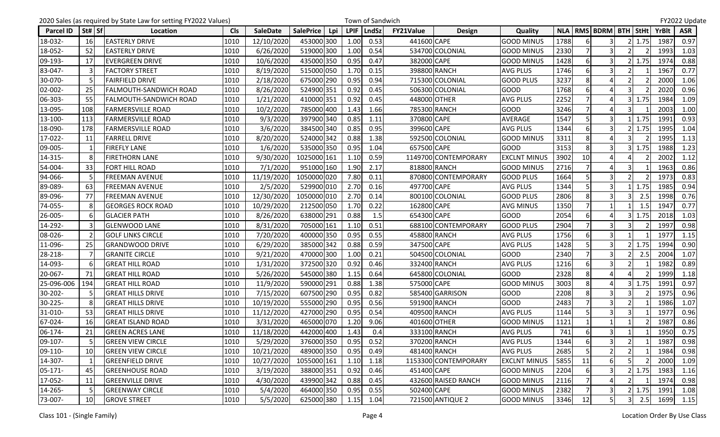|                  |          | 2020 Sales (as required by State Law for setting FY2022 Values) |            |                 |                         |             | Town of Sandwich |                  |                      |                     |      |          |                               |   |               |              | FY2022 Update |
|------------------|----------|-----------------------------------------------------------------|------------|-----------------|-------------------------|-------------|------------------|------------------|----------------------|---------------------|------|----------|-------------------------------|---|---------------|--------------|---------------|
| <b>Parcel ID</b> | St#   Sf | Location                                                        | <b>CIs</b> | <b>SaleDate</b> | <b>SalePrice</b><br>Lpi | <b>LPIF</b> | <b>LndSz</b>     | <b>FY21Value</b> | <b>Design</b>        | Quality             |      |          | NLA   RMS   BDRM   BTH   StHt |   |               | <b>YrBlt</b> | <b>ASR</b>    |
| 18-032-          | 16       | <b>EASTERLY DRIVE</b>                                           | 1010       | 12/10/2020      | 453000 300              | 1.00        | 0.53             | 441600 CAPE      |                      | <b>GOOD MINUS</b>   | 1788 |          | 3                             |   | 1.75          | 1987         | 0.97          |
| 18-052-          | 52       | <b>EASTERLY DRIVE</b>                                           | 1010       | 6/26/2020       | 519000 300              | 1.00        | 0.54             |                  | 534700 COLONIAL      | <b>GOOD MINUS</b>   | 2330 |          | 3                             |   |               | 1993         | 1.03          |
| 09-193-          | 17       | <b>EVERGREEN DRIVE</b>                                          | 1010       | 10/6/2020       | 435000 350              | 0.95        | 0.47             | 382000 CAPE      |                      | <b>GOOD MINUS</b>   | 1428 | 6        | 3                             |   | ! 1.75        | 1974         | 0.88          |
| 83-047-          |          | <b>FACTORY STREET</b>                                           | 1010       | 8/19/2020       | 515000 050              | 1.70        | 0.15             |                  | 398800 RANCH         | <b>AVG PLUS</b>     | 1746 |          | 3                             |   |               | 1967         | 0.77          |
| 30-070-          |          | <b>FAIRFIELD DRIVE</b>                                          | 1010       | 2/18/2020       | 675000 290              | 0.95        | 0.94             |                  | 715300 COLONIAL      | <b>GOOD PLUS</b>    | 3237 | 8        | 4                             |   |               | 2000         | 1.06          |
| 02-002-          | 25       | <b>FALMOUTH-SANDWICH ROAD</b>                                   | 1010       | 8/26/2020       | 524900 351              | 0.92        | 0.45             |                  | 506300 COLONIAL      | GOOD                | 1768 |          | $\Delta$                      |   |               | 2020         | 0.96          |
| 06-303-          | 55       | <b>FALMOUTH-SANDWICH ROAD</b>                                   | 1010       | 1/21/2020       | 410000 351              | 0.92        | 0.45             |                  | 448000 OTHER         | <b>AVG PLUS</b>     | 2252 |          | Δ                             |   | 1.75          | 1984         | 1.09          |
| 13-095-          | 108      | <b>FARMERSVILLE ROAD</b>                                        | 1010       | 10/2/2020       | 785000 400              | 1.43        | 1.66             |                  | 785300 RANCH         | <b>GOOD</b>         | 3246 |          |                               |   |               | 2003         | 1.00          |
| 13-100-          | 113      | <b>FARMERSVILLE ROAD</b>                                        | 1010       | 9/3/2020        | 397900 340              | 0.85        | 1.11             | 370800 CAPE      |                      | <b>AVERAGE</b>      | 1547 | 5        | 3                             |   | 1.75          | 1991         | 0.93          |
| 18-090-          | 178      | <b>FARMERSVILLE ROAD</b>                                        | 1010       | 3/6/2020        | 384500 340              | 0.85        | 0.95             | 399600 CAPE      |                      | <b>AVG PLUS</b>     | 1344 |          | 3                             |   | 1.75          | 1995         | 1.04          |
| 17-022-          | 11       | <b>FARRELL DRIVE</b>                                            | 1010       | 8/20/2020       | 524000 342              | 0.88        | 1.38             |                  | 592500 COLONIAL      | <b>GOOD MINUS</b>   | 3311 | 8        | Δ                             |   |               | 1995         | 1.13          |
| 09-005-          |          | <b>FIREFLY LANE</b>                                             | 1010       | 1/6/2020        | 535000 350              | 0.95        | 1.04             | 657500 CAPE      |                      | <b>GOOD</b>         | 3153 | 8        |                               |   | 1.75          | 1988         | 1.23          |
| 14-315-          |          | <b>FIRETHORN LANE</b>                                           | 1010       | 9/30/2020       | 1025000 161             | 1.10        | 0.59             |                  | 1149700 CONTEMPORARY | <b>EXCLNT MINUS</b> | 3902 | 10       | 4                             |   |               | 2002         | 1.12          |
| 54-004-          | 33       | <b>FORT HILL ROAD</b>                                           | 1010       | 7/1/2020        | 951000 160              | 1.90        | 2.17             |                  | 818800 RANCH         | <b>GOOD MINUS</b>   | 2716 |          | 4                             | 3 |               | 1963         | 0.86          |
| 94-066-          |          | <b>FREEMAN AVENUE</b>                                           | 1010       | 11/19/2020      | 1050000 020             | 7.80        | 0.11             |                  | 870800 CONTEMPORARY  | <b>GOOD PLUS</b>    | 1664 | 5        | $\overline{\mathbf{3}}$       |   |               | 1973         | 0.83          |
| 89-089-          | 63       | <b>FREEMAN AVENUE</b>                                           | 1010       | 2/5/2020        | 529900 010              | 2.70        | 0.16             | 497700 CAPE      |                      | <b>AVG PLUS</b>     | 1344 |          | $\overline{3}$                |   | 1.75          | 1985         | 0.94          |
| 89-096-          | 77       | <b>FREEMAN AVENUE</b>                                           | 1010       | 12/30/2020      | 1050000 010             | 2.70        | 0.14             |                  | 800100 COLONIAL      | <b>GOOD PLUS</b>    | 2806 | 8        | $\overline{3}$                |   | 2.5           | 1998         | 0.76          |
| 74-055-          | 8        | <b>GEORGES ROCK ROAD</b>                                        | 1010       | 10/29/2020      | 212500 050              | 1.70        | 0.22             | 162800 CAPE      |                      | <b>AVG MINUS</b>    | 1350 |          |                               |   | 1.5           | 1947         | 0.77          |
| 26-005-          | 6        | <b>GLACIER PATH</b>                                             | 1010       | 8/26/2020       | 638000 291              | 0.88        | 1.5              | 654300 CAPE      |                      | <b>GOOD</b>         | 2054 | 6        | Δ                             |   | 1.75          | 2018         | 1.03          |
| 14-292-          |          | <b>GLENWOOD LANE</b>                                            | 1010       | 8/31/2020       | 705000 161              | 1.10        | 0.51             |                  | 688100 CONTEMPORARY  | <b>GOOD PLUS</b>    | 2904 |          | 3                             |   |               | 1997         | 0.98          |
| 08-026-          |          | <b>GOLF LINKS CIRCLE</b>                                        | 1010       | 7/20/2020       | 400000 350              | 0.95        | 0.55             |                  | 458800 RANCH         | <b>AVG PLUS</b>     | 1756 | 6        | 3                             |   |               | 1977         | 1.15          |
| 11-096-          | 25       | <b>GRANDWOOD DRIVE</b>                                          | 1010       | 6/29/2020       | 385000 342              | 0.88        | 0.59             | 347500 CAPE      |                      | <b>AVG PLUS</b>     | 1428 |          | 3                             |   | 1.75          | 1994         | 0.90          |
| 28-218-          |          | <b>GRANITE CIRCLE</b>                                           | 1010       | 9/21/2020       | 470000 300              | 1.00        | 0.21             |                  | 504500 COLONIAL      | <b>GOOD</b>         | 2340 |          | 3                             |   | 2.5           | 2004         | 1.07          |
| 14-093-          |          | <b>GREAT HILL ROAD</b>                                          | 1010       | 1/31/2020       | 372500 320              | 0.92        | 0.46             |                  | 332400 RANCH         | <b>AVG PLUS</b>     | 1216 | 6        | 3                             |   |               | 1982         | 0.89          |
| 20-067-          | 71       | <b>GREAT HILL ROAD</b>                                          | 1010       | 5/26/2020       | 545000 380              | 1.15        | 0.64             |                  | 645800 COLONIAL      | <b>GOOD</b>         | 2328 | 8        | Δ                             |   |               | 1999         | 1.18          |
| 25-096-006       | 194      | <b>GREAT HILL ROAD</b>                                          | 1010       | 11/9/2020       | 590000 291              | 0.88        | 1.38             | 575000 CAPE      |                      | <b>GOOD MINUS</b>   | 3003 | 8        | 4                             |   | $3 \mid 1.75$ | 1991         | 0.97          |
| 30-202-          |          | <b>GREAT HILLS DRIVE</b>                                        | 1010       | 7/15/2020       | 607500 290              | 0.95        | 0.82             |                  | 585400 GARRISON      | <b>GOOD</b>         | 2208 | 8        | 3                             |   |               | 1975         | 0.96          |
| 30-225-          |          | <b>GREAT HILLS DRIVE</b>                                        | 1010       | 10/19/2020      | 555000 290              | 0.95        | 0.56             |                  | 591900 RANCH         | <b>GOOD</b>         | 2483 |          | $\overline{3}$                |   |               | 1986         | 1.07          |
| 31-010-          | 53       | <b>GREAT HILLS DRIVE</b>                                        | 1010       | 11/12/2020      | 427000 290              | 0.95        | 0.54             |                  | 409500 RANCH         | <b>AVG PLUS</b>     | 1144 |          | 3                             |   |               | 1977         | 0.96          |
| 67-024-          | 16       | <b>GREAT ISLAND ROAD</b>                                        | 1010       | 3/31/2020       | 465000 070              | 1.20        | 9.06             |                  | 401600 OTHER         | <b>GOOD MINUS</b>   | 1121 |          |                               |   |               | 1987         | 0.86          |
| 06-174-          | 21       | <b>GREEN ACRES LANE</b>                                         | 1010       | 11/18/2020      | 442000 400              | 1.43        | 0.4              |                  | 333100 RANCH         | <b>AVG PLUS</b>     | 741  | $6 \mid$ | 3                             |   |               | 1950         | 0.75          |
| 09-107-          |          | <b>GREEN VIEW CIRCLE</b>                                        | 1010       | 5/29/2020       | 376000 350              | 0.95        | 0.52             |                  | 370200 RANCH         | <b>AVG PLUS</b>     | 1344 | 6        | 3                             |   |               | 1987         | 0.98          |
| 09-110-          | 10       | <b>GREEN VIEW CIRCLE</b>                                        | 1010       | 10/21/2020      | 489000 350              | 0.95        | 0.49             |                  | 481400 RANCH         | <b>AVG PLUS</b>     | 2685 |          | $\mathfrak{p}$                |   |               | 1984         | 0.98          |
| 14-307-          |          | <b>GREENFIELD DRIVE</b>                                         | 1010       | 10/27/2020      | 1055000 161             | 1.10        | 1.18             |                  | 1153300 CONTEMPORARY | <b>EXCLNT MINUS</b> | 5855 | 11       | 6                             |   |               | 2000         | 1.09          |
| 05-171-          | 45       | <b>GREENHOUSE ROAD</b>                                          | 1010       | 3/19/2020       | 388000 351              | 0.92        | 0.46             | 451400 CAPE      |                      | <b>GOOD MINUS</b>   | 2204 |          |                               |   | 1.75          | 1983         | 1.16          |
| 17-052-          | -11      | <b>GREENVILLE DRIVE</b>                                         | 1010       | 4/30/2020       | 439900 342              | 0.88        | 0.45             |                  | 432600 RAISED RANCH  | <b>GOOD MINUS</b>   | 2116 |          | 4                             |   |               | 1974         | 0.98          |
| 14-265-          |          | <b>GREENWAY CIRCLE</b>                                          | 1010       | 5/4/2020        | 464000 350              | 0.95        | 0.55             | 502400 CAPE      |                      | <b>GOOD MINUS</b>   | 2382 |          | $\overline{\mathsf{3}}$       |   | 1.75          | 1991         | 1.08          |
| 73-007-          | 10       | <b>GROVE STREET</b>                                             | 1010       | 5/5/2020        | 625000 380              | 1.15        | 1.04             |                  | 721500 ANTIQUE 2     | <b>GOOD MINUS</b>   | 3346 | 12       | 5 <sup>1</sup>                |   | 2.5           | 1699         | 1.15          |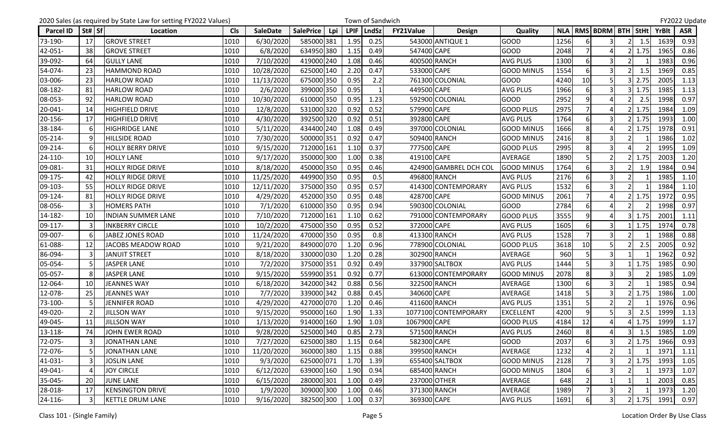|                  |        | 2020 Sales (as required by State Law for setting FY2022 Values) |            |                 |                  |            |             | Town of Sandwich |              |                        |                   |      |                |                               |   |        |              | FY2022 Update |
|------------------|--------|-----------------------------------------------------------------|------------|-----------------|------------------|------------|-------------|------------------|--------------|------------------------|-------------------|------|----------------|-------------------------------|---|--------|--------------|---------------|
| <b>Parcel ID</b> | St# Sf | Location                                                        | <b>Cls</b> | <b>SaleDate</b> | <b>SalePrice</b> | <b>Lpi</b> | <b>LPIF</b> | <b>LndSz</b>     | FY21Value    | <b>Design</b>          | Quality           |      |                | NLA   RMS   BDRM   BTH   StHt |   |        | <b>YrBlt</b> | <b>ASR</b>    |
| 73-190-          | 17     | <b>GROVE STREET</b>                                             | 1010       | 6/30/2020       | 585000 381       |            | 1.95        | 0.25             |              | 543000 ANTIQUE 1       | <b>GOOD</b>       | 1256 |                |                               |   | 1.5    | 1639         | 0.93          |
| 42-051-          | 38     | <b>GROVE STREET</b>                                             | 1010       | 6/8/2020        | 634950 380       |            | 1.15        | 0.49             | 547400 CAPE  |                        | <b>GOOD</b>       | 2048 |                | Δ                             |   | 1.75   | 1965         | 0.86          |
| 39-092-          | 64     | <b>GULLY LANE</b>                                               | 1010       | 7/10/2020       | 419000 240       |            | 1.08        | 0.46             |              | 400500 RANCH           | <b>AVG PLUS</b>   | 1300 | 6              | 3                             |   |        | 1983         | 0.96          |
| 54-074-          | 23     | <b>HAMMOND ROAD</b>                                             | 1010       | 10/28/2020      | 625000 140       |            | 2.20        | 0.47             | 533000 CAPE  |                        | <b>GOOD MINUS</b> | 1554 | 6              | 3                             |   | 1.5    | 1969         | 0.85          |
| 03-006-          | 23     | <b>HARLOW ROAD</b>                                              | 1010       | 11/13/2020      | 675000 350       |            | 0.95        | 2.2              |              | 761300 COLONIAL        | <b>GOOD</b>       | 4240 | 10             |                               |   | 2.75   | 2005         | 1.13          |
| 08-182-          | 81     | <b>HARLOW ROAD</b>                                              | 1010       | 2/6/2020        | 399000 350       |            | 0.95        |                  | 449500 CAPE  |                        | <b>AVG PLUS</b>   | 1966 |                | 3                             |   | 1.75   | 1985         | 1.13          |
| 08-053-          | 92     | <b>HARLOW ROAD</b>                                              | 1010       | 10/30/2020      | 610000 350       |            | 0.95        | 1.23             |              | 592900 COLONIAL        | <b>GOOD</b>       | 2952 | 9 <sub>l</sub> |                               |   | 2.5    | 1998         | 0.97          |
| 20-041-          | 14     | <b>HIGHFIELD DRIVE</b>                                          | 1010       | 12/8/2020       | 531000 320       |            | 0.92        | 0.52             | 579900 CAPE  |                        | <b>GOOD PLUS</b>  | 2975 |                |                               |   | 1.75   | 1984         | 1.09          |
| 20-156-          | 17     | <b>HIGHFIELD DRIVE</b>                                          | 1010       | 4/30/2020       | 392500 320       |            | 0.92        | 0.51             | 392800 CAPE  |                        | <b>AVG PLUS</b>   | 1764 | 6              | 3                             |   | 1.75   | 1993         | 1.00          |
| 38-184-          |        | <b>HIGHRIDGE LANE</b>                                           | 1010       | 5/11/2020       | 434400 240       |            | 1.08        | 0.49             |              | 397000 COLONIAL        | <b>GOOD MINUS</b> | 1666 | 8              | 4                             |   | 1.75   | 1978         | 0.91          |
| 05-214-          |        | <b>HILLSIDE ROAD</b>                                            | 1010       | 7/30/2020       | 500000 351       |            | 0.92        | 0.47             |              | 509400 RANCH           | <b>GOOD MINUS</b> | 2416 | 8              | $\overline{\mathbf{3}}$       |   |        | 1986         | 1.02          |
| 09-214-          |        | <b>HOLLY BERRY DRIVE</b>                                        | 1010       | 9/15/2020       | 712000 161       |            | 1.10        | 0.37             | 777500 CAPE  |                        | <b>GOOD PLUS</b>  | 2995 | 8              | 3                             |   |        | 1995         | 1.09          |
| 24-110-          | 10     | <b>HOLLY LANE</b>                                               | 1010       | 9/17/2020       | 350000 300       |            | 1.00        | 0.38             | 419100 CAPE  |                        | AVERAGE           | 1890 |                | $\overline{2}$                |   | 1.75   | 2003         | 1.20          |
| 09-081-          | 31     | <b>HOLLY RIDGE DRIVE</b>                                        | 1010       | 8/18/2020       | 450000 350       |            | 0.95        | 0.46             |              | 424900 GAMBREL DCH COL | <b>GOOD MINUS</b> | 1764 |                | 3                             |   | 1.9    | 1984         | 0.94          |
| 09-175-          | 42     | <b>HOLLY RIDGE DRIVE</b>                                        | 1010       | 11/25/2020      | 449900 350       |            | 0.95        | 0.5              |              | 496800 RANCH           | <b>AVG PLUS</b>   | 2176 | 6              | 3                             |   |        | 1985         | 1.10          |
| 09-103-          | 55     | <b>HOLLY RIDGE DRIVE</b>                                        | 1010       | 12/11/2020      | 375000 350       |            | 0.95        | 0.57             |              | 414300 CONTEMPORARY    | <b>AVG PLUS</b>   | 1532 |                |                               |   |        | 1984         | 1.10          |
| 09-124-          | 81     | <b>HOLLY RIDGE DRIVE</b>                                        | 1010       | 4/29/2020       | 452000 350       |            | 0.95        | 0.48             | 428700 CAPE  |                        | <b>GOOD MINUS</b> | 2061 |                | Δ                             |   | 1.75   | 1972         | 0.95          |
| 08-056-          |        | <b>HOMERS PATH</b>                                              | 1010       | 7/1/2020        | 610000 350       |            | 0.95        | 0.94             |              | 590300 COLONIAL        | GOOD              | 2784 | 6              | 4                             |   |        | 1998         | 0.97          |
| 14-182-          | 10     | <b>INDIAN SUMMER LANE</b>                                       | 1010       | 7/10/2020       | 712000 161       |            | 1.10        | 0.62             |              | 791000 CONTEMPORARY    | <b>GOOD PLUS</b>  | 3555 | $\overline{9}$ | 4                             |   | 1.75   | 2001         | 1.11          |
| 09-117-          |        | <b>INKBERRY CIRCLE</b>                                          | 1010       | 10/2/2020       | 475000 350       |            | 0.95        | 0.52             | 372000 CAPE  |                        | <b>AVG PLUS</b>   | 1605 |                | 3                             |   | 1.75   | 1974         | 0.78          |
| 09-007-          |        | <b>JABEZ JONES ROAD</b>                                         | 1010       | 11/24/2020      | 470000 350       |            | 0.95        | 0.8              |              | 413300 RANCH           | <b>AVG PLUS</b>   | 1528 |                | $\overline{3}$                |   |        | 1988         | 0.88          |
| 61-088-          | 12     | JACOBS MEADOW ROAD                                              | 1010       | 9/21/2020       | 849000 070       |            | 1.20        | 0.96             |              | 778900 COLONIAL        | <b>GOOD PLUS</b>  | 3618 | 10             | 5                             |   | 2.5    | 2005         | 0.92          |
| 86-094-          |        | <b>JANUIT STREET</b>                                            | 1010       | 8/18/2020       | 330000 030       |            | 1.20        | 0.28             |              | 302900 RANCH           | AVERAGE           | 960  |                | 3                             |   |        | 1962         | 0.92          |
| 05-054-          |        | <b>JASPER LANE</b>                                              | 1010       | 7/2/2020        | 375000 351       |            | 0.92        | 0.49             |              | 337900 SALTBOX         | <b>AVG PLUS</b>   | 1444 |                | 3                             |   | 1.75   | 1985         | 0.90          |
| 05-057-          |        | <b>JASPER LANE</b>                                              | 1010       | 9/15/2020       | 559900 351       |            | 0.92        | 0.77             |              | 613000 CONTEMPORARY    | <b>GOOD MINUS</b> | 2078 | 8              | $\overline{3}$                | 3 |        | 1985         | 1.09          |
| 12-064-          | 10     | <b>JEANNES WAY</b>                                              | 1010       | 6/18/2020       | 342000 342       |            | 0.88        | 0.56             |              | 322500 RANCH           | <b>AVERAGE</b>    | 1300 | 6              | 3                             |   |        | 1985         | 0.94          |
| 12-078-          | 25     | <b>JEANNES WAY</b>                                              | 1010       | 7/7/2020        | 339000 342       |            | 0.88        | 0.45             | 340600 CAPE  |                        | AVERAGE           | 1418 |                | 3                             |   | 1.75   | 1986         | 1.00          |
| 73-100-          |        | JENNIFER ROAD                                                   | 1010       | 4/29/2020       | 427000 070       |            | 1.20        | 0.46             |              | 411600 RANCH           | <b>AVG PLUS</b>   | 1351 |                | $\overline{2}$                |   |        | 1976         | 0.96          |
| 49-020-          |        | <b>JILLSON WAY</b>                                              | 1010       | 9/15/2020       | 950000 160       |            | 1.90        | 1.33             |              | 1077100 CONTEMPORARY   | <b>EXCELLENT</b>  | 4200 | $\overline{9}$ | 5                             |   | 2.5    | 1999         | 1.13          |
| 49-045-          | 11     | <b>JILLSON WAY</b>                                              | 1010       | 1/13/2020       | 914000 160       |            | 1.90        | 1.03             | 1067900 CAPE |                        | <b>GOOD PLUS</b>  | 4184 | 12             | $\overline{a}$                |   | 1.75   | 1999         | 1.17          |
| 13-118-          | 74     | JOHN EWER ROAD                                                  | 1010       | 9/28/2020       | 525000 340       |            | 0.85        | 2.73             |              | 571500 RANCH           | <b>AVG PLUS</b>   | 2460 | 8 <sup>1</sup> | 4                             |   | 1.5    | 1985         | 1.09          |
| 72-075-          |        | <b>JONATHAN LANE</b>                                            | 1010       | 7/27/2020       | 625000 380       |            | 1.15        | 0.64             | 582300 CAPE  |                        | <b>GOOD</b>       | 2037 | 6              | $\overline{\mathbf{3}}$       |   | 1.75   | 1966         | 0.93          |
| 72-076-          |        | <b>JONATHAN LANE</b>                                            | 1010       | 11/20/2020      | 360000 380       |            | 1.15        | 0.88             |              | 399500 RANCH           | AVERAGE           | 1232 |                | $\mathfrak{p}$                |   |        | 1971         | 1.11          |
| 41-031-          |        | <b>JOSLIN LANE</b>                                              | 1010       | 9/3/2020        | 625000 071       |            | 1.70        | 1.39             |              | 655400 SALTBOX         | <b>GOOD MINUS</b> | 2128 |                | $\overline{\mathbf{3}}$       |   | 2 1.75 | 1993         | 1.05          |
| 49-041-          |        | <b>JOY CIRCLE</b>                                               | 1010       | 6/12/2020       | 639000 160       |            | 1.90        | 0.94             |              | 685400 RANCH           | <b>GOOD MINUS</b> | 1804 |                |                               |   |        | 1973         | 1.07          |
| 35-045-          | 20     | <b>JUNE LANE</b>                                                | 1010       | 6/15/2020       | 280000 301       |            | 1.00        | 0.49             |              | 237000 OTHER           | AVERAGE           | 648  |                |                               |   |        | 2003         | 0.85          |
| 28-018-          | 17     | <b>KENSINGTON DRIVE</b>                                         | 1010       | 1/9/2020        | 309000 300       |            | 1.00        | 0.46             |              | 371300 RANCH           | AVERAGE           | 1989 |                | 3                             |   |        | 1973         | 1.20          |
| $24 - 116 -$     |        | KETTLE DRUM LANE                                                | 1010       | 9/16/2020       | 382500 300       |            | 1.00        | 0.37             | 369300 CAPE  |                        | <b>AVG PLUS</b>   | 1691 |                | $\overline{\mathsf{3}}$       |   | 2 1.75 | 1991         | 0.97          |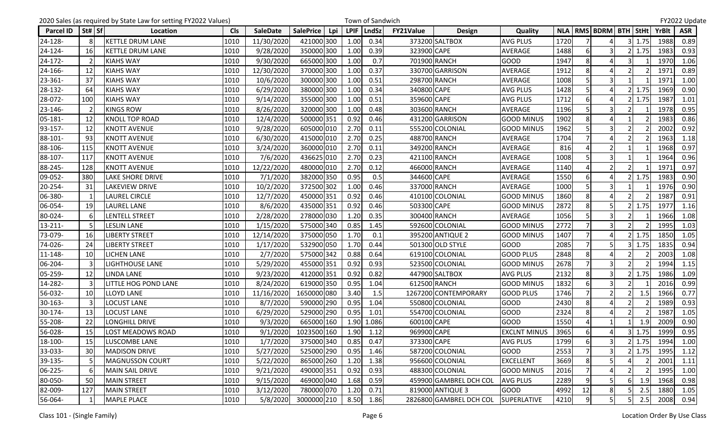|                  |          |                         | 2020 Sales (as required by State Law for setting FY2022 Values) |            |                 |                  |     |             | Town of Sandwich |                  |                         |                     |      |                |                               |   |        |              | FY2022 Update |
|------------------|----------|-------------------------|-----------------------------------------------------------------|------------|-----------------|------------------|-----|-------------|------------------|------------------|-------------------------|---------------------|------|----------------|-------------------------------|---|--------|--------------|---------------|
| <b>Parcel ID</b> | St#   Sf |                         | Location                                                        | <b>CIs</b> | <b>SaleDate</b> | <b>SalePrice</b> | Lpi | <b>LPIF</b> | LndSz            | <b>FY21Value</b> | <b>Design</b>           | Quality             |      |                | NLA   RMS   BDRM   BTH   StHt |   |        | <b>YrBlt</b> | <b>ASR</b>    |
| 24-128-          |          | <b>KETTLE DRUM LANE</b> |                                                                 | 1010       | 11/30/2020      | 421000 300       |     | 1.00        | 0.34             |                  | 373200 SALTBOX          | <b>AVG PLUS</b>     | 1720 |                |                               |   | 3 1.75 | 1988         | 0.89          |
| 24-124-          | 16       | <b>KETTLE DRUM LANE</b> |                                                                 | 1010       | 9/28/2020       | 350000 300       |     | 1.00        | 0.39             | 323900 CAPE      |                         | AVERAGE             | 1488 | 6              | 3                             |   | 1.75   | 1983         | 0.93          |
| 24-172-          |          | <b>KIAHS WAY</b>        |                                                                 | 1010       | 9/30/2020       | 665000 300       |     | 1.00        | 0.7              |                  | 701900 RANCH            | <b>GOOD</b>         | 1947 | 8              | 4                             |   |        | 1970         | 1.06          |
| 24-166-          | 12       | <b>KIAHS WAY</b>        |                                                                 | 1010       | 12/30/2020      | 370000 300       |     | 1.00        | 0.37             |                  | 330700 GARRISON         | <b>AVERAGE</b>      | 1912 | 8              |                               |   |        | 1971         | 0.89          |
| 23-361-          | 37       | <b>KIAHS WAY</b>        |                                                                 | 1010       | 10/6/2020       | 300000 300       |     | 1.00        | 0.51             |                  | 298700 RANCH            | AVERAGE             | 1008 |                | $\overline{\mathbf{3}}$       |   |        | 1971         | 1.00          |
| 28-132-          | 64       | <b>KIAHS WAY</b>        |                                                                 | 1010       | 6/29/2020       | 380000 300       |     | 1.00        | 0.34             | 340800 CAPE      |                         | <b>AVG PLUS</b>     | 1428 |                | 4                             |   | 1.75   | 1969         | 0.90          |
| 28-072-          | 100      | <b>KIAHS WAY</b>        |                                                                 | 1010       | 9/14/2020       | 355000 300       |     | 1.00        | 0.51             | 359600 CAPE      |                         | <b>AVG PLUS</b>     | 1712 | 6              | Δ                             |   | 1.75   | 1987         | 1.01          |
| 23-146-          |          | <b>KINGS ROW</b>        |                                                                 | 1010       | 8/26/2020       | 320000 300       |     | 1.00        | 0.48             |                  | 303600 RANCH            | AVERAGE             | 1196 |                |                               |   |        | 1978         | 0.95          |
| 05-181-          | 12       | <b>KNOLL TOP ROAD</b>   |                                                                 | 1010       | 12/4/2020       | 500000 351       |     | 0.92        | 0.46             |                  | 431200 GARRISON         | <b>GOOD MINUS</b>   | 1902 | 8              | Δ                             |   |        | 1983         | 0.86          |
| 93-157-          | 12       | <b>KNOTT AVENUE</b>     |                                                                 | 1010       | 9/28/2020       | 605000 010       |     | 2.70        | 0.11             |                  | 555200 COLONIAL         | <b>GOOD MINUS</b>   | 1962 |                | 3                             |   |        | 2002         | 0.92          |
| 88-101           | 93       | <b>KNOTT AVENUE</b>     |                                                                 | 1010       | 6/30/2020       | 415000 010       |     | 2.70        | 0.25             |                  | 488700 RANCH            | AVERAGE             | 1704 | $\overline{7}$ | Δ                             |   |        | 1963         | 1.18          |
| 88-106-          | 115      | <b>KNOTT AVENUE</b>     |                                                                 | 1010       | 3/24/2020       | 360000 010       |     | 2.70        | 0.11             |                  | 349200 RANCH            | AVERAGE             | 816  |                |                               |   |        | 1968         | 0.97          |
| 88-107-          | 117      | <b>KNOTT AVENUE</b>     |                                                                 | 1010       | 7/6/2020        | 436625 010       |     | 2.70        | 0.23             |                  | 421100 RANCH            | <b>AVERAGE</b>      | 1008 | 5              | $\overline{\mathbf{3}}$       |   |        | 1964         | 0.96          |
| 88-245-          | 128      | <b>KNOTT AVENUE</b>     |                                                                 | 1010       | 12/22/2020      | 480000 010       |     | 2.70        | 0.12             |                  | 466000 RANCH            | AVERAGE             | 1140 |                | $\overline{2}$                |   |        | 1971         | 0.97          |
| 09-052-          | 380      | <b>LAKE SHORE DRIVE</b> |                                                                 | 1010       | 7/1/2020        | 382000 350       |     | 0.95        | 0.5              | 344600 CAPE      |                         | <b>AVERAGE</b>      | 1550 | 6              | 4                             |   | 1.75   | 1983         | 0.90          |
| 20-254-          | 31       | <b>LAKEVIEW DRIVE</b>   |                                                                 | 1010       | 10/2/2020       | 372500 302       |     | 1.00        | 0.46             |                  | 337000 RANCH            | <b>AVERAGE</b>      | 1000 |                | 3                             |   |        | 1976         | 0.90          |
| 06-380-          |          | <b>LAUREL CIRCLE</b>    |                                                                 | 1010       | 12/7/2020       | 450000 351       |     | 0.92        | 0.46             |                  | 410100 COLONIAL         | <b>GOOD MINUS</b>   | 1860 | 8              | 4                             |   |        | 1987         | 0.91          |
| 06-054-          | 19       | LAUREL LANE             |                                                                 | 1010       | 8/6/2020        | 435000 351       |     | 0.92        | 0.46             | 503300 CAPE      |                         | <b>GOOD MINUS</b>   | 2872 | 8              | 5                             |   | 1.75   | 1977         | 1.16          |
| 80-024-          | 6        | <b>LENTELL STREET</b>   |                                                                 | 1010       | 2/28/2020       | 278000 030       |     | 1.20        | 0.35             |                  | 300400 RANCH            | AVERAGE             | 1056 |                | $\overline{3}$                |   |        | 1966         | 1.08          |
| $13 - 211 -$     |          | <b>LESLIN LANE</b>      |                                                                 | 1010       | 1/15/2020       | 575000 340       |     | 0.85        | 1.45             |                  | 592600 COLONIAL         | <b>GOOD MINUS</b>   | 2772 |                | 3                             |   |        | 1995         | 1.03          |
| 73-079-          | 16       | <b>LIBERTY STREET</b>   |                                                                 | 1010       | 12/14/2020      | 375000 050       |     | 1.70        | 0.1              |                  | 395200 ANTIQUE 2        | <b>GOOD MINUS</b>   | 1407 |                | $\Delta$                      |   | 1.75   | 1850         | 1.05          |
| 74-026-          | 24       | <b>LIBERTY STREET</b>   |                                                                 | 1010       | 1/17/2020       | 532900 050       |     | 1.70        | 0.44             |                  | 501300 OLD STYLE        | <b>GOOD</b>         | 2085 |                |                               |   | 1.75   | 1835         | 0.94          |
| 11-148-          | 10       | <b>LICHEN LANE</b>      |                                                                 | 1010       | 2/7/2020        | 575000 342       |     | 0.88        | 0.64             |                  | 619100 COLONIAL         | <b>GOOD PLUS</b>    | 2848 | 8              |                               |   |        | 2003         | 1.08          |
| 06-204-          |          | <b>LIGHTHOUSE LANE</b>  |                                                                 | 1010       | 5/29/2020       | 455000 351       |     | 0.92        | 0.93             |                  | 523500 COLONIAL         | <b>GOOD MINUS</b>   | 2678 |                | 3                             |   |        | 1994         | 1.15          |
| 05-259-          | 12       | <b>LINDA LANE</b>       |                                                                 | 1010       | 9/23/2020       | 412000 351       |     | 0.92        | 0.82             |                  | 447900 SALTBOX          | <b>AVG PLUS</b>     | 2132 | 8              | 3                             |   | 1.75   | 1986         | 1.09          |
| 14-282-          |          |                         | <b>LITTLE HOG POND LANE</b>                                     | 1010       | 8/24/2020       | 619000 350       |     | 0.95        | 1.04             |                  | 612500 RANCH            | <b>GOOD MINUS</b>   | 1832 | 6              | $\overline{\mathbf{3}}$       |   |        | 2016         | 0.99          |
| 56-032-          | 10       | <b>LLOYD LANE</b>       |                                                                 | 1010       | 11/16/2020      | 1650000 080      |     | 3.40        | 1.5              |                  | 1267200 CONTEMPORARY    | <b>GOOD PLUS</b>    | 1746 |                | $\overline{2}$                |   | 1.5    | 1966         | 0.77          |
| 30-163-          |          | <b>LOCUST LANE</b>      |                                                                 | 1010       | 8/7/2020        | 590000 290       |     | 0.95        | 1.04             |                  | 550800 COLONIAL         | <b>GOOD</b>         | 2430 | 8              | 4                             |   |        | 1989         | 0.93          |
| 30-174-          | 13       | <b>LOCUST LANE</b>      |                                                                 | 1010       | 6/29/2020       | 529000 290       |     | 0.95        | 1.01             |                  | 554700 COLONIAL         | <b>GOOD</b>         | 2324 | 8              | $\Delta$                      |   |        | 1987         | 1.05          |
| 55-208-          | 22       | <b>LONGHILL DRIVE</b>   |                                                                 | 1010       | 9/3/2020        | 665000 160       |     | 1.90        | 1.086            | 600100 CAPE      |                         | <b>GOOD</b>         | 1550 | 4              |                               |   | 1.9    | 2009         | 0.90          |
| 56-028-          | 15       |                         | <b>LOST MEADOWS ROAD</b>                                        | 1010       | 9/1/2020        | 1023500 160      |     | 1.90        | 1.12             | 969900 CAPE      |                         | <b>EXCLNT MINUS</b> | 3965 | $6 \mid$       | 4                             |   | 1.75   | 1999         | 0.95          |
| 18-100-          | 15       | LUSCOMBE LANE           |                                                                 | 1010       | 1/7/2020        | 375000 340       |     | 0.85        | 0.47             | 373300 CAPE      |                         | <b>AVG PLUS</b>     | 1799 | 6              | $\overline{\mathbf{3}}$       |   | 1.75   | 1994         | 1.00          |
| 33-033-          | 30       | <b>MADISON DRIVE</b>    |                                                                 | 1010       | 5/27/2020       | 525000 290       |     | 0.95        | 1.46             |                  | 587200 COLONIAL         | <b>GOOD</b>         | 2553 |                | 3                             |   | 1.75   | 1995         | 1.12          |
| 39-135-          |          |                         | <b>MAGNUSSON COURT</b>                                          | 1010       | 5/22/2020       | 865000 260       |     | 1.20        | 1.38             |                  | 956600 COLONIAL         | <b>EXCELLENT</b>    | 3669 | 8              | 5                             |   |        | 2001         | 1.11          |
| 06-225-          |          | MAIN SAIL DRIVE         |                                                                 | 1010       | 9/21/2020       | 490000 351       |     | 0.92        | 0.93             |                  | 488300 COLONIAL         | <b>GOOD MINUS</b>   | 2016 |                |                               |   |        | 1995         | 1.00          |
| 80-050-          | 50       | <b>MAIN STREET</b>      |                                                                 | 1010       | 9/15/2020       | 469000 040       |     | 1.68        | 0.59             |                  | 459900 GAMBREL DCH COL  | <b>AVG PLUS</b>     | 2289 | 9              | 5                             | 6 | 1.9    | 1968         | 0.98          |
| 82-009-          | 127      | <b>MAIN STREET</b>      |                                                                 | 1010       | 3/12/2020       | 780000 070       |     | 1.20        | 0.71             |                  | 819000 ANTIQUE 3        | <b>GOOD</b>         | 4992 | 12             | 8 <sup>1</sup>                |   | 2.5    | 1880         | 1.05          |
| 56-064-          |          | <b>MAPLE PLACE</b>      |                                                                 | 1010       | 5/8/2020        | 3000000 210      |     | 8.50        | 1.86             |                  | 2826800 GAMBREL DCH COL | <b>SUPERLATIVE</b>  | 4210 | 9              | 5 <sup>1</sup>                |   | 2.5    | 2008         | 0.94          |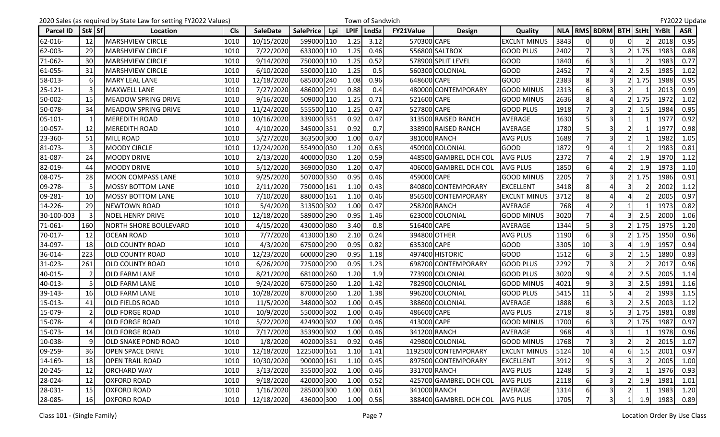|                  |           | 2020 Sales (as required by State Law for setting FY2022 Values) |            |                 |                         |             | Town of Sandwich |                  |                        |                     |      |                |                               |                |      |       | FY2022 Update |
|------------------|-----------|-----------------------------------------------------------------|------------|-----------------|-------------------------|-------------|------------------|------------------|------------------------|---------------------|------|----------------|-------------------------------|----------------|------|-------|---------------|
| <b>Parcel ID</b> | St#   Sf  | Location                                                        | <b>Cls</b> | <b>SaleDate</b> | <b>SalePrice</b><br>Lpi | <b>LPIF</b> | <b>LndSz</b>     | <b>FY21Value</b> | <b>Design</b>          | Quality             |      |                | NLA   RMS   BDRM   BTH   StHt |                |      | YrBlt | <b>ASR</b>    |
| 62-016-          | 12        | MARSHVIEW CIRCLE                                                | 1010       | 10/15/2020      | 599000 110              | 1.25        | 3.12             | 570300 CAPE      |                        | <b>EXCLNT MINUS</b> | 3843 | $\Omega$       | $\Omega$                      | $\Omega$       |      | 2018  | 0.95          |
| 62-003-          | 29        | MARSHVIEW CIRCLE                                                | 1010       | 7/22/2020       | 633000 110              | 1.25        | 0.46             |                  | 556800 SALTBOX         | <b>GOOD PLUS</b>    | 2402 |                | 3                             |                | 1.75 | 1983  | 0.88          |
| 71-062-          | 30        | <b>MARSHVIEW CIRCLE</b>                                         | 1010       | 9/14/2020       | 750000 110              | 1.25        | 0.52             |                  | 578900 SPLIT LEVEL     | <b>GOOD</b>         | 1840 | 6              | 3                             |                |      | 1983  | 0.77          |
| 61-055-          | 31        | MARSHVIEW CIRCLE                                                | 1010       | 6/10/2020       | 550000 110              | 1.25        | 0.5              |                  | 560300 COLONIAL        | GOOD                | 2452 | $\overline{7}$ | Δ                             |                | 2.5  | 1985  | 1.02          |
| 58-013-          |           | <b>MARY LEAL LANE</b>                                           | 1010       | 12/18/2020      | 685000 240              | 1.08        | 0.96             | 648600 CAPE      |                        | <b>GOOD</b>         | 2383 | 8              | 3                             |                | 1.75 | 1988  | 0.95          |
| $25 - 121 -$     |           | <b>MAXWELL LANE</b>                                             | 1010       | 7/27/2020       | 486000 291              | 0.88        | 0.4              |                  | 480000 CONTEMPORARY    | <b>GOOD MINUS</b>   | 2313 | 6              | 3                             |                |      | 2013  | 0.99          |
| 50-002-          | 15        | MEADOW SPRING DRIVE                                             | 1010       | 9/16/2020       | 509000 110              | 1.25        | 0.71             | 521600 CAPE      |                        | <b>GOOD MINUS</b>   | 2636 | 8              | $\Delta$                      |                | 1.75 | 1972  | 1.02          |
| 50-078-          | 34        | <b>MEADOW SPRING DRIVE</b>                                      | 1010       | 11/24/2020      | 555500 110              | 1.25        | 0.47             | 527800 CAPE      |                        | <b>GOOD PLUS</b>    | 1918 |                |                               |                | 1.5  | 1984  | 0.95          |
| $05 - 101 -$     |           | <b>MEREDITH ROAD</b>                                            | 1010       | 10/16/2020      | 339000 351              | 0.92        | 0.47             |                  | 313500 RAISED RANCH    | AVERAGE             | 1630 |                | $\overline{\mathbf{3}}$       |                |      | 1977  | 0.92          |
| 10-057-          | 12        | <b>MEREDITH ROAD</b>                                            | 1010       | 4/10/2020       | 345000 351              | 0.92        | 0.7              |                  | 338900 RAISED RANCH    | <b>AVERAGE</b>      | 1780 | 5              | 3                             |                |      | 1977  | 0.98          |
| 23-360-          | 51        | MILL ROAD                                                       | 1010       | 5/27/2020       | 363500 300              | 1.00        | 0.47             |                  | 381000 RANCH           | <b>AVG PLUS</b>     | 1688 | $\overline{7}$ | $\overline{\mathbf{3}}$       |                |      | 1982  | 1.05          |
| 81-073-          |           | <b>MOODY CIRCLE</b>                                             | 1010       | 12/24/2020      | 554900 030              | 1.20        | 0.63             |                  | 450900 COLONIAL        | <b>GOOD</b>         | 1872 | 9              |                               |                |      | 1983  | 0.81          |
| 81-087-          | 24        | <b>MOODY DRIVE</b>                                              | 1010       | 2/13/2020       | 400000 030              | 1.20        | 0.59             |                  | 448500 GAMBREL DCH COL | <b>AVG PLUS</b>     | 2372 |                | $\Delta$                      |                | 1.9  | 1970  | 1.12          |
| 82-019-          | 44        | <b>MOODY DRIVE</b>                                              | 1010       | 5/12/2020       | 369000 030              | 1.20        | 0.47             |                  | 406000 GAMBREL DCH COL | <b>AVG PLUS</b>     | 1850 | 6              |                               |                | 1.9  | 1973  | 1.10          |
| 08-075-          | 28        | MOON COMPASS LANE                                               | 1010       | 9/25/2020       | 507000 350              | 0.95        | 0.46             | 459000 CAPE      |                        | <b>GOOD MINUS</b>   | 2205 |                | $\overline{3}$                |                | 1.75 | 1986  | 0.91          |
| 09-278-          |           | <b>MOSSY BOTTOM LANE</b>                                        | 1010       | 2/11/2020       | 750000 161              | 1.10        | 0.43             |                  | 840800 CONTEMPORARY    | <b>EXCELLENT</b>    | 3418 | 8              |                               |                |      | 2002  | 1.12          |
| 09-281-          | 10        | <b>MOSSY BOTTOM LANE</b>                                        | 1010       | 7/10/2020       | 880000 161              | 1.10        | 0.46             |                  | 856500 CONTEMPORARY    | <b>EXCLNT MINUS</b> | 3712 | 8              | Δ                             |                |      | 2005  | 0.97          |
| 14-226-          | 29        | <b>NEWTOWN ROAD</b>                                             | 1010       | 5/4/2020        | 313500 302              | 1.00        | 0.47             |                  | 258200 RANCH           | AVERAGE             | 768  |                | $\overline{2}$                |                |      | 1973  | 0.82          |
| 30-100-003       |           | <b>NOEL HENRY DRIVE</b>                                         | 1010       | 12/18/2020      | 589000 290              | 0.95        | 1.46             |                  | 623000 COLONIAL        | <b>GOOD MINUS</b>   | 3020 | $\overline{7}$ | 4                             |                | 2.5  | 2000  | 1.06          |
| 71-061-          | 160       | <b>NORTH SHORE BOULEVARD</b>                                    | 1010       | 4/15/2020       | 430000 080              | 3.40        | 0.8              | 516400 CAPE      |                        | <b>AVERAGE</b>      | 1344 |                | $\overline{3}$                |                | 1.75 | 1975  | 1.20          |
| 70-017-          | 12        | <b>OCEAN ROAD</b>                                               | 1010       | 7/7/2020        | 413000 180              | 2.10        | 0.24             |                  | 394800 OTHER           | <b>AVG PLUS</b>     | 1190 | 6              | 3                             |                | 1.75 | 1950  | 0.96          |
| 34-097-          | 18        | <b>OLD COUNTY ROAD</b>                                          | 1010       | 4/3/2020        | 675000 290              | 0.95        | 0.82             | 635300 CAPE      |                        | <b>GOOD</b>         | 3305 | 10             | $\overline{\mathbf{3}}$       |                | 1.9  | 1957  | 0.94          |
| 36-014-          | 223       | <b>OLD COUNTY ROAD</b>                                          | 1010       | 12/23/2020      | 600000 290              | 0.95        | 1.18             |                  | 497400 HISTORIC        | GOOD                | 1512 | 6              | $\overline{\mathbf{3}}$       |                | 1.5  | 1880  | 0.83          |
| 31-023-          | 261       | <b>OLD COUNTY ROAD</b>                                          | 1010       | 6/26/2020       | 725000 290              | 0.95        | 1.23             |                  | 698700 CONTEMPORARY    | <b>GOOD PLUS</b>    | 2292 |                | 3                             |                |      | 2017  | 0.96          |
| 40-015-          |           | <b>OLD FARM LANE</b>                                            | 1010       | 8/21/2020       | 681000 260              | 1.20        | 1.9              |                  | 773900 COLONIAL        | <b>GOOD PLUS</b>    | 3020 | 9              | 4                             |                | 2.5  | 2005  | 1.14          |
| 40-013-          |           | <b>OLD FARM LANE</b>                                            | 1010       | 9/24/2020       | 675000 260              | 1.20        | 1.42             |                  | 782900 COLONIAL        | <b>GOOD MINUS</b>   | 4021 | $\overline{9}$ | $\overline{3}$                |                | 2.5  | 1991  | 1.16          |
| 39-143-          | 16        | <b>OLD FARM LANE</b>                                            | 1010       | 10/28/2020      | 870000 260              | 1.20        | 1.38             |                  | 996200 COLONIAL        | <b>GOOD PLUS</b>    | 5415 | 11             | 5                             |                |      | 1993  | 1.15          |
| 15-013-          | 41        | <b>OLD FIELDS ROAD</b>                                          | 1010       | 11/5/2020       | 348000 302              | 1.00        | 0.45             |                  | 388600 COLONIAL        | AVERAGE             | 1888 |                | $\overline{3}$                |                | 2.5  | 2003  | 1.12          |
| 15-079-          |           | <b>OLD FORGE ROAD</b>                                           | 1010       | 10/9/2020       | 550000 302              | 1.00        | 0.46             | 486600 CAPE      |                        | <b>AVG PLUS</b>     | 2718 | 8              | 5                             |                | 1.75 | 1981  | 0.88          |
| 15-078-          |           | <b>OLD FORGE ROAD</b>                                           | 1010       | 5/22/2020       | 424900 302              | 1.00        | 0.46             | 413000 CAPE      |                        | <b>GOOD MINUS</b>   | 1700 | 6              | 3                             |                | 1.75 | 1987  | 0.97          |
| 15-073-          | 14        | <b>OLD FORGE ROAD</b>                                           | 1010       | 7/17/2020       | 353900 302              | 1.00        | 0.46             |                  | 341200 RANCH           | <b>AVERAGE</b>      | 968  | $\overline{4}$ | $\overline{3}$                |                |      | 1978  | 0.96          |
| 10-038-          |           | <b>OLD SNAKE POND ROAD</b>                                      | 1010       | 1/8/2020        | 402000 351              | 0.92        | 0.46             |                  | 429800 COLONIAL        | <b>GOOD MINUS</b>   | 1768 | 7              | $\overline{\mathbf{3}}$       | $\overline{2}$ |      | 2015  | 1.07          |
| 09-259-          | 36        | <b>OPEN SPACE DRIVE</b>                                         | 1010       | 12/18/2020      | 1225000 161             | 1.10        | 1.41             |                  | 1192500 CONTEMPORARY   | <b>EXCLNT MINUS</b> | 5124 | 10             | 4                             | 61             | 1.5  | 2001  | 0.97          |
| 14-169-          | 18        | <b>OPEN TRAIL ROAD</b>                                          | 1010       | 10/30/2020      | 900000 161              | 1.10        | 0.45             |                  | 897500 CONTEMPORARY    | <b>EXCELLENT</b>    | 3912 | 9              |                               |                |      | 2005  | 1.00          |
| 20-245-          | 12        | <b>ORCHARD WAY</b>                                              | 1010       | 3/13/2020       | 355000 302              | 1.00        | 0.46             |                  | 331700 RANCH           | <b>AVG PLUS</b>     | 1248 |                |                               |                |      | 1976  | 0.93          |
| 28-024-          | 12        | <b>OXFORD ROAD</b>                                              | 1010       | 9/18/2020       | 420000 300              | 1.00        | 0.52             |                  | 425700 GAMBREL DCH COL | <b>AVG PLUS</b>     | 2118 |                |                               |                | 1.9  | 1981  | 1.01          |
| 28-031-          | 15        | <b>OXFORD ROAD</b>                                              | 1010       | 1/16/2020       | 285000 300              | 1.00        | 0.61             |                  | 341000 RANCH           | AVERAGE             | 1314 |                | 3                             |                |      | 1983  | 1.20          |
| 28-085-          | <b>16</b> | <b>OXFORD ROAD</b>                                              | 1010       | 12/18/2020      | 436000 300              |             | 1.00 0.56        |                  | 388400 GAMBREL DCH COL | <b>AVG PLUS</b>     | 1705 |                | $\overline{\mathsf{3}}$       | 1              | 1.9  | 1983  | 0.89          |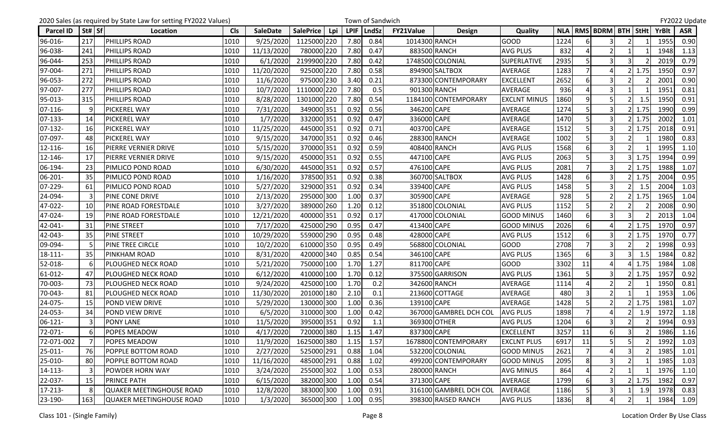|                  |          | 2020 Sales (as required by State Law for setting FY2022 Values) |            |                 |                         |             | Town of Sandwich |                  |                        |                     |      |                |                               |   |      |       | FY2022 Update |
|------------------|----------|-----------------------------------------------------------------|------------|-----------------|-------------------------|-------------|------------------|------------------|------------------------|---------------------|------|----------------|-------------------------------|---|------|-------|---------------|
| <b>Parcel ID</b> | St#   Sf | Location                                                        | <b>Cls</b> | <b>SaleDate</b> | <b>SalePrice</b><br>Lpi | <b>LPIF</b> | LndSz            | <b>FY21Value</b> | <b>Design</b>          | Quality             |      |                | NLA   RMS   BDRM   BTH   StHt |   |      | YrBlt | <b>ASR</b>    |
| 96-016-          | 217      | <b>PHILLIPS ROAD</b>                                            | 1010       | 9/25/2020       | 1125000 220             | 7.80        | 0.84             | 1014300 RANCH    |                        | <b>GOOD</b>         | 1224 |                | 3                             |   |      | 1955  | 0.90          |
| 96-038-          | 241      | <b>PHILLIPS ROAD</b>                                            | 1010       | 11/13/2020      | 780000 220              | 7.80        | 0.47             |                  | 883500 RANCH           | <b>AVG PLUS</b>     | 832  |                | $\overline{2}$                |   |      | 1948  | 1.13          |
| 96-044-          | 253      | <b>PHILLIPS ROAD</b>                                            | 1010       | 6/1/2020        | 2199900 220             | 7.80        | 0.42             |                  | 1748500 COLONIAL       | <b>SUPERLATIVE</b>  | 2935 | 5              | 3                             | 3 |      | 2019  | 0.79          |
| 97-004-          | 271      | <b>PHILLIPS ROAD</b>                                            | 1010       | 11/20/2020      | 925000 220              | 7.80        | 0.58             |                  | 894900 SALTBOX         | <b>AVERAGE</b>      | 1283 |                |                               |   | 1.75 | 1950  | 0.97          |
| 96-053-          | 272      | PHILLIPS ROAD                                                   | 1010       | 11/6/2020       | 975000 230              | 3.40        | 0.21             |                  | 873300 CONTEMPORARY    | <b>EXCELLENT</b>    | 2652 |                | 3                             |   |      | 2001  | 0.90          |
| 97-007-          | 277      | <b>PHILLIPS ROAD</b>                                            | 1010       | 10/7/2020       | 1110000 220             | 7.80        | 0.5              |                  | 901300 RANCH           | AVERAGE             | 936  |                | 3                             |   |      | 1951  | 0.81          |
| 95-013-          | 315      | <b>PHILLIPS ROAD</b>                                            | 1010       | 8/28/2020       | 1301000 220             | 7.80        | 0.54             |                  | 1184100 CONTEMPORARY   | <b>EXCLNT MINUS</b> | 1860 | $\overline{9}$ | 5                             |   | 1.5  | 1950  | 0.91          |
| 07-116-          |          | PICKEREL WAY                                                    | 1010       | 7/31/2020       | 349000 351              | 0.92        | 0.56             | 346200 CAPE      |                        | AVERAGE             | 1274 |                |                               |   | 1.75 | 1990  | 0.99          |
| 07-133-          | 14       | <b>PICKEREL WAY</b>                                             | 1010       | 1/7/2020        | 332000 351              | 0.92        | 0.47             | 336000 CAPE      |                        | AVERAGE             | 1470 |                | $\overline{\mathbf{3}}$       |   | 1.75 | 2002  | 1.01          |
| 07-132-          | 16       | <b>PICKEREL WAY</b>                                             | 1010       | 11/25/2020      | 445000 351              | 0.92        | 0.71             | 403700 CAPE      |                        | AVERAGE             | 1512 |                | 3                             |   | 1.75 | 2018  | 0.91          |
| 07-097-          | 48       | <b>PICKEREL WAY</b>                                             | 1010       | 9/15/2020       | 347000 351              | 0.92        | 0.46             |                  | 288300 RANCH           | AVERAGE             | 1002 | 5              | $\overline{3}$                |   |      | 1980  | 0.83          |
| 12-116-          | 16       | <b>PIERRE VERNIER DRIVE</b>                                     | 1010       | 5/15/2020       | 370000 351              | 0.92        | 0.59             |                  | 408400 RANCH           | <b>AVG PLUS</b>     | 1568 |                | 3                             |   |      | 1995  | 1.10          |
| 12-146-          | -17      | <b>PIERRE VERNIER DRIVE</b>                                     | 1010       | 9/15/2020       | 450000 351              | 0.92        | 0.55             | 447100 CAPE      |                        | <b>AVG PLUS</b>     | 2063 |                | 3                             |   | 1.75 | 1994  | 0.99          |
| 06-194-          | 23       | <b>PIMLICO POND ROAD</b>                                        | 1010       | 6/30/2020       | 445000 351              | 0.92        | 0.57             | 476100 CAPE      |                        | <b>AVG PLUS</b>     | 2081 |                | 3                             |   | 1.75 | 1988  | 1.07          |
| 06-201-          | 35       | <b>PIMLICO POND ROAD</b>                                        | 1010       | 1/16/2020       | 378500 351              | 0.92        | 0.38             |                  | 360700 SALTBOX         | <b>AVG PLUS</b>     | 1428 | 6              | 3                             |   | 1.75 | 2004  | 0.95          |
| 07-229-          | 61       | <b>PIMLICO POND ROAD</b>                                        | 1010       | 5/27/2020       | 329000 351              | 0.92        | 0.34             | 339400 CAPE      |                        | <b>AVG PLUS</b>     | 1458 |                |                               |   | 1.5  | 2004  | 1.03          |
| 24-094-          |          | <b>PINE CONE DRIVE</b>                                          | 1010       | 2/13/2020       | 295000 300              | 1.00        | 0.37             | 305900 CAPE      |                        | AVERAGE             | 928  |                | $\overline{2}$                |   | 1.75 | 1965  | 1.04          |
| 47-022-          | 10       | <b>PINE ROAD FORESTDALE</b>                                     | 1010       | 3/27/2020       | 389000 260              | 1.20        | 0.12             |                  | 351800 COLONIAL        | <b>AVG PLUS</b>     | 1152 |                | $\overline{2}$                |   |      | 2008  | 0.90          |
| 47-024-          | 19       | <b>PINE ROAD FORESTDALE</b>                                     | 1010       | 12/21/2020      | 400000 351              | 0.92        | 0.17             |                  | 417000 COLONIAL        | <b>GOOD MINUS</b>   | 1460 | $6 \mid$       | $\overline{\mathbf{3}}$       |   |      | 2013  | 1.04          |
| 42-041-          | 31       | <b>PINE STREET</b>                                              | 1010       | 7/17/2020       | 425000 290              | 0.95        | 0.47             | 413400 CAPE      |                        | <b>GOOD MINUS</b>   | 2026 |                |                               |   | 1.75 | 1970  | 0.97          |
| 42-043-          | 35       | <b>PINE STREET</b>                                              | 1010       | 10/29/2020      | 559000 290              | 0.95        | 0.48             | 428000 CAPE      |                        | <b>AVG PLUS</b>     | 1512 | 6              | $\overline{\mathsf{3}}$       |   | 1.75 | 1970  | 0.77          |
| 09-094-          |          | <b>PINE TREE CIRCLE</b>                                         | 1010       | 10/2/2020       | 610000 350              | 0.95        | 0.49             |                  | 568800 COLONIAL        | <b>GOOD</b>         | 2708 |                | $\overline{\mathbf{3}}$       |   |      | 1998  | 0.93          |
| 18-111-          | 35       | <b>PINKHAM ROAD</b>                                             | 1010       | 8/31/2020       | 420000 340              | 0.85        | 0.54             | 346100 CAPE      |                        | <b>AVG PLUS</b>     | 1365 | 6              | $\overline{3}$                |   | 1.5  | 1984  | 0.82          |
| 52-018-          |          | <b>PLOUGHED NECK ROAD</b>                                       | 1010       | 5/21/2020       | 750000 100              | 1.70        | 1.27             | 811700 CAPE      |                        | <b>GOOD</b>         | 3302 | 11             |                               |   | 1.75 | 1984  | 1.08          |
| 61-012-          | 47       | <b>PLOUGHED NECK ROAD</b>                                       | 1010       | 6/12/2020       | 410000 100              | 1.70        | 0.12             |                  | 375500 GARRISON        | <b>AVG PLUS</b>     | 1361 |                | $\overline{\mathsf{3}}$       |   | 1.75 | 1957  | 0.92          |
| 70-003-          | 73       | <b>PLOUGHED NECK ROAD</b>                                       | 1010       | 9/24/2020       | 425000 100              | 1.70        | 0.2              |                  | 342600 RANCH           | AVERAGE             | 1114 |                | $\overline{2}$                |   |      | 1950  | 0.81          |
| 70-043-          | 81       | <b>PLOUGHED NECK ROAD</b>                                       | 1010       | 11/30/2020      | 201000 180              | 2.10        | 0.1              |                  | 213600 COTTAGE         | AVERAGE             | 480  |                | $\overline{2}$                |   |      | 1953  | 1.06          |
| 24-075-          | 15       | POND VIEW DRIVE                                                 | 1010       | 5/29/2020       | 130000 300              | 1.00        | 0.36             | 139100 CAPE      |                        | <b>AVERAGE</b>      | 1428 |                | $\overline{2}$                |   | 1.75 | 1981  | 1.07          |
| 24-053-          | 34       | POND VIEW DRIVE                                                 | 1010       | 6/5/2020        | 310000 300              | 1.00        | 0.42             |                  | 367000 GAMBREL DCH COL | <b>AVG PLUS</b>     | 1898 |                | 4                             |   | 1.9  | 1972  | 1.18          |
| 06-121-          |          | <b>PONY LANE</b>                                                | 1010       | 11/5/2020       | 395000 351              | 0.92        | 1.1              |                  | 369300 OTHER           | <b>AVG PLUS</b>     | 1204 | 6              | 3                             |   |      | 1994  | 0.93          |
| 72-071-          | 6l       | <b>POPES MEADOW</b>                                             | 1010       | 4/17/2020       | 720000 380              | 1.15        | 1.47             | 837300 CAPE      |                        | <b>EXCELLENT</b>    | 3257 | 11             | $6 \mid$                      |   |      | 1986  | 1.16          |
| 72-071-002       |          | POPES MEADOW                                                    | 1010       | 11/9/2020       | 1625000 380             | 1.15        | 1.57             |                  | 1678800 CONTEMPORARY   | <b>EXCLNT PLUS</b>  | 6917 | 11             | 5                             | 5 |      | 1992  | 1.03          |
| 25-011-          | 76       | POPPLE BOTTOM ROAD                                              | 1010       | 2/27/2020       | 525000 291              | 0.88        | 1.04             |                  | 532200 COLONIAL        | <b>GOOD MINUS</b>   | 2621 |                |                               |   |      | 1985  | 1.01          |
| 25-010-          | 80       | <b>POPPLE BOTTOM ROAD</b>                                       | 1010       | 11/16/2020      | 485000 291              | 0.88        | 1.02             |                  | 499200 CONTEMPORARY    | <b>GOOD MINUS</b>   | 2095 | 8              | $\overline{\mathbf{3}}$       |   |      | 1985  | 1.03          |
| 14-113-          |          | POWDER HORN WAY                                                 | 1010       | 3/24/2020       | 255000 302              | 1.00        | 0.53             |                  | 280000 RANCH           | <b>AVG MINUS</b>    | 864  |                | $\overline{2}$                |   |      | 1976  | 1.10          |
| 22-037-          | 15       | <b>PRINCE PATH</b>                                              | 1010       | 6/15/2020       | 382000 300              | 1.00        | 0.54             | 371300 CAPE      |                        | AVERAGE             | 1799 |                | 3                             |   | 1.75 | 1982  | 0.97          |
| 17-213-          |          | QUAKER MEETINGHOUSE ROAD                                        | 1010       | 12/8/2020       | 383000 300              | 1.00        | 0.91             |                  | 316100 GAMBREL DCH COL | AVERAGE             | 1186 |                | 3                             |   | 1.9  | 1978  | 0.83          |
| 23-190-          | 163      | QUAKER MEETINGHOUSE ROAD                                        | 1010       | 1/3/2020        | 365000 300              | 1.00        | 0.95             |                  | 398300 RAISED RANCH    | <b>AVG PLUS</b>     | 1836 | 8              | $\overline{4}$                |   |      | 1984  | 1.09          |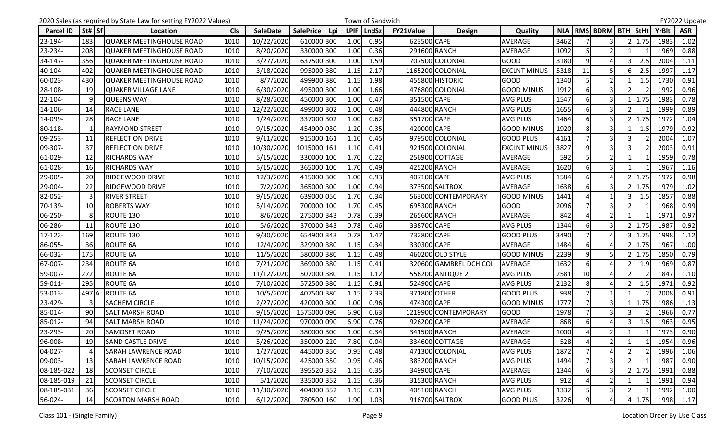|            |           | 2020 Sales (as required by State Law for setting FY2022 Values) |            |                 |                         |             | Town of Sandwich |                  |                        |                     |      |                |                               |    |               |              | FY2022 Update |
|------------|-----------|-----------------------------------------------------------------|------------|-----------------|-------------------------|-------------|------------------|------------------|------------------------|---------------------|------|----------------|-------------------------------|----|---------------|--------------|---------------|
| Parcel ID  | St# Sf    | Location                                                        | <b>Cls</b> | <b>SaleDate</b> | <b>SalePrice</b><br>Lpi | <b>LPIF</b> | LndSz            | <b>FY21Value</b> | <b>Design</b>          | Quality             |      |                | NLA   RMS   BDRM   BTH   StHt |    |               | <b>YrBlt</b> | <b>ASR</b>    |
| 23-194-    | 183       | QUAKER MEETINGHOUSE ROAD                                        | 1010       | 10/22/2020      | 610000 300              | 1.00        | 0.95             | 623500 CAPE      |                        | AVERAGE             | 3462 |                | 3                             |    | 1.75          | 1983         | 1.02          |
| 23-234-    | 208       | QUAKER MEETINGHOUSE ROAD                                        | 1010       | 8/20/2020       | 330000 300              | 1.00        | 0.36             |                  | 291600 RANCH           | <b>AVERAGE</b>      | 1092 |                | $\overline{2}$                |    |               | 1969         | 0.88          |
| 34-147-    | 356       | QUAKER MEETINGHOUSE ROAD                                        | 1010       | 3/27/2020       | 637500 300              | 1.00        | 1.59             |                  | 707500 COLONIAL        | <b>GOOD</b>         | 3180 | $\overline{9}$ | 4                             |    | 2.5           | 2004         | 1.11          |
| 40-104-    | 402       | <b>QUAKER MEETINGHOUSE ROAD</b>                                 | 1010       | 3/18/2020       | 995000 380              | 1.15        | 2.17             |                  | 1165200 COLONIAL       | <b>EXCLNT MINUS</b> | 5318 | 11             | 5                             |    | 2.5           | 1997         | 1.17          |
| 60-023-    | 430       | QUAKER MEETINGHOUSE ROAD                                        | 1010       | 8/7/2020        | 499900 380              | 1.15        | 1.98             |                  | 455800 HISTORIC        | <b>GOOD</b>         | 1340 |                | $\overline{2}$                |    | 1.5           | 1730         | 0.91          |
| 28-108-    | 19        | <b>QUAKER VILLAGE LANE</b>                                      | 1010       | 6/30/2020       | 495000 300              | 1.00        | 1.66             |                  | 476800 COLONIAL        | <b>GOOD MINUS</b>   | 1912 | 6              | 3                             |    |               | 1992         | 0.96          |
| 22-104-    |           | <b>QUEENS WAY</b>                                               | 1010       | 8/28/2020       | 450000 300              | 1.00        | 0.47             | 351500 CAPE      |                        | <b>AVG PLUS</b>     | 1547 | 6              | 3                             |    | 1.75          | 1983         | 0.78          |
| 14-106-    | 14        | <b>RACE LANE</b>                                                | 1010       | 12/22/2020      | 499000 302              | 1.00        | 0.48             |                  | 444800 RANCH           | <b>AVG PLUS</b>     | 1655 | 6              | 3                             |    |               | 1999         | 0.89          |
| 14-099-    | 28        | <b>RACE LANE</b>                                                | 1010       | 1/24/2020       | 337000 302              | 1.00        | 0.62             | 351700 CAPE      |                        | <b>AVG PLUS</b>     | 1464 |                | 3                             |    | 1.75          | 1972         | 1.04          |
| 80-118-    |           | <b>RAYMOND STREET</b>                                           | 1010       | 9/15/2020       | 454900 030              | 1.20        | 0.35             | 420000 CAPE      |                        | <b>GOOD MINUS</b>   | 1920 | 8              | 3                             |    | 1.5           | 1979         | 0.92          |
| 09-253-    | 11        | <b>REFLECTION DRIVE</b>                                         | 1010       | 9/11/2020       | 915000 161              | 1.10        | 0.45             |                  | 979500 COLONIAL        | <b>GOOD PLUS</b>    | 4161 |                | 3                             | 3  |               | 2004         | 1.07          |
| 09-307-    | 37        | <b>REFLECTION DRIVE</b>                                         | 1010       | 10/30/2020      | 1015000 161             | 1.10        | 0.41             |                  | 921500 COLONIAL        | <b>EXCLNT MINUS</b> | 3827 | 9              | 3                             |    |               | 2003         | 0.91          |
| 61-029-    | 12        | <b>RICHARDS WAY</b>                                             | 1010       | 5/15/2020       | 330000 100              | 1.70        | 0.22             |                  | 256900 COTTAGE         | AVERAGE             | 592  |                | $\overline{2}$                |    |               | 1959         | 0.78          |
| 61-028-    | 16        | <b>RICHARDS WAY</b>                                             | 1010       | 5/15/2020       | 365000 100              | 1.70        | 0.49             |                  | 425200 RANCH           | AVERAGE             | 1620 | 6              | 3                             |    |               | 1967         | 1.16          |
| 29-005-    | 20        | <b>RIDGEWOOD DRIVE</b>                                          | 1010       | 12/3/2020       | 415000 300              | 1.00        | 0.93             | 407100 CAPE      |                        | <b>AVG PLUS</b>     | 1584 | 6              | $\Delta$                      |    | 1.75          | 1972         | 0.98          |
| 29-004-    | 22        | <b>RIDGEWOOD DRIVE</b>                                          | 1010       | 7/2/2020        | 365000 300              | 1.00        | 0.94             |                  | 373500 SALTBOX         | AVERAGE             | 1638 |                |                               |    | 1.75          | 1979         | 1.02          |
| 82-052-    |           | <b>RIVER STREET</b>                                             | 1010       | 9/15/2020       | 639000 050              | 1.70        | 0.34             |                  | 563000 CONTEMPORARY    | <b>GOOD MINUS</b>   | 1441 |                |                               |    | 1.5           | 1857         | 0.88          |
| 70-139-    | 10        | <b>ROBERTS WAY</b>                                              | 1010       | 5/14/2020       | 700000 100              | 1.70        | 0.45             |                  | 695300 RANCH           | <b>GOOD</b>         | 2096 |                | 3                             |    |               | 1968         | 0.99          |
| 06-250-    | 8         | ROUTE 130                                                       | 1010       | 8/6/2020        | 275000 343              | 0.78        | 0.39             |                  | 265600 RANCH           | AVERAGE             | 842  | Δ              | $\overline{2}$                |    |               | 1971         | 0.97          |
| 06-286-    | 11        | ROUTE 130                                                       | 1010       | 5/6/2020        | 370000 343              | 0.78        | 0.46             | 338700 CAPE      |                        | <b>AVG PLUS</b>     | 1344 |                |                               |    | 1.75          | 1987         | 0.92          |
| 17-122-    | 169       | ROUTE 130                                                       | 1010       | 9/30/2020       | 654900 343              | 0.78        | 1.47             | 732800 CAPE      |                        | <b>GOOD PLUS</b>    | 3490 |                | Δ                             |    | 1.75          | 1998         | 1.12          |
| 86-055-    | 36        | <b>ROUTE 6A</b>                                                 | 1010       | 12/4/2020       | 329900 380              | 1.15        | 0.34             | 330300 CAPE      |                        | AVERAGE             | 1484 | 6              |                               |    | 1.75          | 1967         | 1.00          |
| 66-032-    | 175       | <b>ROUTE 6A</b>                                                 | 1010       | 11/5/2020       | 580000 380              | 1.15        | 0.48             |                  | 460200 OLD STYLE       | <b>GOOD MINUS</b>   | 2239 | $\overline{9}$ |                               |    | 1.75          | 1850         | 0.79          |
| 67-007-    | 234       | ROUTE 6A                                                        | 1010       | 7/21/2020       | 369000 380              | 1.15        | 0.41             |                  | 320600 GAMBREL DCH COL | <b>AVERAGE</b>      | 1632 |                |                               |    | 1.9           | 1969         | 0.87          |
| 59-007-    | 272       | ROUTE 6A                                                        | 1010       | 11/12/2020      | 507000 380              | 1.15        | 1.12             |                  | 556200 ANTIQUE 2       | <b>AVG PLUS</b>     | 2581 | 10             | Δ                             |    |               | 1847         | 1.10          |
| 59-011-    | 295       | <b>ROUTE 6A</b>                                                 | 1010       | 7/10/2020       | 572500 380              | 1.15        | 0.91             | 524900 CAPE      |                        | <b>AVG PLUS</b>     | 2132 | 8              | 4                             |    | 1.5           | 1971         | 0.92          |
| 53-013-    | 497 A     | <b>ROUTE 6A</b>                                                 | 1010       | 10/5/2020       | 407500 380              | 1.15        | 2.33             |                  | 371800 OTHER           | <b>GOOD PLUS</b>    | 938  | $\overline{2}$ | $\mathbf{1}$                  |    |               | 2008         | 0.91          |
| 23-429-    |           | <b>SACHEM CIRCLE</b>                                            | 1010       | 2/27/2020       | 420000 300              | 1.00        | 0.96             | 474300 CAPE      |                        | <b>GOOD MINUS</b>   | 1777 |                | $\overline{3}$                |    | 1.75          | 1986         | 1.13          |
| 85-014-    | 90        | <b>SALT MARSH ROAD</b>                                          | 1010       | 9/15/2020       | 1575000 090             | 6.90        | 0.63             |                  | 1219900 CONTEMPORARY   | <b>GOOD</b>         | 1978 |                | 3                             |    |               | 1966         | 0.77          |
| 85-012-    | 94        | <b>SALT MARSH ROAD</b>                                          | 1010       | 11/24/2020      | 970000 090              | 6.90        | 0.76             | 926200 CAPE      |                        | AVERAGE             | 868  | 6              |                               |    | 1.5           | 1963         | 0.95          |
| 23-293-    | <b>20</b> | SAMOSET ROAD                                                    | 1010       | 9/25/2020       | 380000 300              | 1.00        | 0.34             |                  | 341500 RANCH           | <b>AVERAGE</b>      | 1000 | $\overline{4}$ | $\overline{2}$                |    |               | 1973         | 0.90          |
| 96-008-    | 19        | <b>SAND CASTLE DRIVE</b>                                        | 1010       | 5/26/2020       | 350000 220              | 7.80        | 0.04             |                  | 334600 COTTAGE         | AVERAGE             | 528  |                | $\overline{2}$                | -1 |               | 1954         | 0.96          |
| 04-027-    |           | <b>SARAH LAWRENCE ROAD</b>                                      | 1010       | 1/27/2020       | 445000 350              | 0.95        | 0.48             |                  | 471300 COLONIAL        | <b>AVG PLUS</b>     | 1872 |                |                               |    |               | 1996         | 1.06          |
| 09-003-    | 13        | <b>SARAH LAWRENCE ROAD</b>                                      | 1010       | 10/15/2020      | 425000 350              | 0.95        | 0.46             |                  | 383200 RANCH           | <b>AVG PLUS</b>     | 1494 |                | $\overline{3}$                |    |               | 1987         | 0.90          |
| 08-185-022 | 18        | <b>SCONSET CIRCLE</b>                                           | 1010       | 7/10/2020       | 395520 352              | 1.15        | 0.35             | 349900 CAPE      |                        | AVERAGE             | 1344 |                | $\overline{\mathsf{3}}$       |    | 1.75          | 1991         | 0.88          |
| 08-185-019 | 21        | <b>SCONSET CIRCLE</b>                                           | 1010       | 5/1/2020        | 335000 352              | 1.15        | 0.36             |                  | 315300 RANCH           | <b>AVG PLUS</b>     | 912  |                | $\overline{2}$                |    |               | 1991         | 0.94          |
| 08-185-031 | 36        | <b>SCONSET CIRCLE</b>                                           | 1010       | 11/30/2020      | 404000 352              | 1.15        | 0.31             |                  | 405100 RANCH           | AVG PLUS            | 1332 |                | 3                             |    |               | 1992         | 1.00          |
| 56-024-    | 14        | <b>SCORTON MARSH ROAD</b>                                       | 1010       | 6/12/2020       | 780500 160              | 1.90        | 1.03             |                  | 916700 SALTBOX         | <b>GOOD PLUS</b>    | 3226 | 9              | 4 <sup>1</sup>                |    | $4 \mid 1.75$ | 1998         | 1.17          |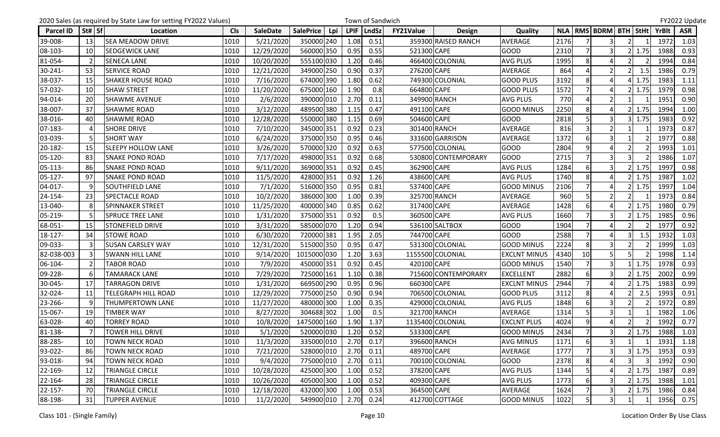|                  |          | 2020 Sales (as required by State Law for setting FY2022 Values) |            |                 |                                |             | Town of Sandwich |             |                     |                     |      |                  |                               |                |            |       | FY2022 Update |
|------------------|----------|-----------------------------------------------------------------|------------|-----------------|--------------------------------|-------------|------------------|-------------|---------------------|---------------------|------|------------------|-------------------------------|----------------|------------|-------|---------------|
| <b>Parcel ID</b> | St#   Sf | Location                                                        | <b>Cls</b> | <b>SaleDate</b> | <b>SalePrice</b><br><b>Lpi</b> | <b>LPIF</b> | <b>LndSz</b>     | FY21Value   | <b>Design</b>       | Quality             |      |                  | NLA   RMS   BDRM   BTH   StHt |                |            | YrBlt | <b>ASR</b>    |
| 39-008-          | 13       | <b>SEA MEADOW DRIVE</b>                                         | 1010       | 5/21/2020       | 350000 240                     | 1.08        | 0.51             |             | 359300 RAISED RANCH | <b>AVERAGE</b>      | 2176 |                  |                               |                |            | 1972  | 1.03          |
| 08-103-          | 10       | SEDGEWICK LANE                                                  | 1010       | 12/29/2020      | 560000 350                     | 0.95        | 0.55             | 521300 CAPE |                     | <b>GOOD</b>         | 2310 |                  | 3                             |                | 1.75       | 1988  | 0.93          |
| 81-054-          |          | <b>SENECA LANE</b>                                              | 1010       | 10/20/2020      | 555100 030                     | 1.20        | 0.46             |             | 466400 COLONIAL     | <b>AVG PLUS</b>     | 1995 | 8                | 4                             |                |            | 1994  | 0.84          |
| 30-241-          | 53       | <b>SERVICE ROAD</b>                                             | 1010       | 12/21/2020      | 349000 250                     | 0.90        | 0.37             | 276200 CAPE |                     | AVERAGE             | 864  |                  | $\overline{2}$                |                | 1.5        | 1986  | 0.79          |
| 38-037-          | -15      | <b>SHAKER HOUSE ROAD</b>                                        | 1010       | 7/16/2020       | 674000 390                     | 1.80        | 0.62             |             | 749300 COLONIAL     | <b>GOOD PLUS</b>    | 3192 |                  |                               |                | 1.75       | 1983  | 1.11          |
| 57-032-          | 10       | <b>SHAW STREET</b>                                              | 1010       | 11/20/2020      | 675000 160                     | 1.90        | 0.8              | 664800 CAPE |                     | <b>GOOD PLUS</b>    | 1572 |                  | $\Delta$                      |                | 1.75       | 1979  | 0.98          |
| 94-014-          | 20       | <b>SHAWME AVENUE</b>                                            | 1010       | 2/6/2020        | 390000 010                     | 2.70        | 0.11             |             | 349900 RANCH        | <b>AVG PLUS</b>     | 770  | 4                | $\overline{2}$                |                |            | 1951  | 0.90          |
| 38-007-          | 37       | <b>SHAWME ROAD</b>                                              | 1010       | 3/12/2020       | 489500 380                     | 1.15        | 0.47             | 491100 CAPE |                     | <b>GOOD MINUS</b>   | 2250 | 8                |                               |                | 1.75       | 1994  | 1.00          |
| 38-016-          | 40       | SHAWME ROAD                                                     | 1010       | 12/28/2020      | 550000 380                     | 1.15        | 0.69             | 504600 CAPE |                     | <b>GOOD</b>         | 2818 |                  | 3                             |                | 1.75       | 1983  | 0.92          |
| 07-183-          |          | <b>SHORE DRIVE</b>                                              | 1010       | 7/10/2020       | 345000 351                     | 0.92        | 0.23             |             | 301400 RANCH        | AVERAGE             | 816  |                  | $\overline{2}$                |                |            | 1973  | 0.87          |
| 03-039-          |          | <b>SHORT WAY</b>                                                | 1010       | 6/24/2020       | 375000 350                     | 0.95        | 0.46             |             | 331600 GARRISON     | AVERAGE             | 1372 | 6                | $\overline{3}$                |                |            | 1977  | 0.88          |
| 20-182-          | 15       | SLEEPY HOLLOW LANE                                              | 1010       | 3/26/2020       | 570000 320                     | 0.92        | 0.63             |             | 577500 COLONIAL     | <b>GOOD</b>         | 2804 | q                |                               |                |            | 1993  | 1.01          |
| 05-120-          | -83      | <b>SNAKE POND ROAD</b>                                          | 1010       | 7/17/2020       | 498000 351                     | 0.92        | 0.68             |             | 530800 CONTEMPORARY | <b>GOOD</b>         | 2715 |                  | 3                             |                |            | 1986  | 1.07          |
| 05-113-          | 86       | <b>SNAKE POND ROAD</b>                                          | 1010       | 9/11/2020       | 369000 351                     | 0.92        | 0.45             | 362900 CAPE |                     | <b>AVG PLUS</b>     | 1284 |                  | 3                             |                | 1.75       | 1997  | 0.98          |
| 05-127-          | 97       | <b>SNAKE POND ROAD</b>                                          | 1010       | 11/5/2020       | 428000 351                     | 0.92        | 1.26             | 438600 CAPE |                     | <b>AVG PLUS</b>     | 1740 | 8                | Δ                             |                | 1.75       | 1987  | 1.02          |
| 04-017-          |          | SOUTHFIELD LANE                                                 | 1010       | 7/1/2020        | 516000 350                     | 0.95        | 0.81             | 537400 CAPE |                     | <b>GOOD MINUS</b>   | 2106 |                  |                               |                | 1.75       | 1997  | 1.04          |
| 24-154-          | 23       | SPECTACLE ROAD                                                  | 1010       | 10/2/2020       | 386000 300                     | 1.00        | 0.39             |             | 325700 RANCH        | <b>AVERAGE</b>      | 960  |                  | $\overline{2}$                |                |            | 1973  | 0.84          |
| 13-040-          |          | <b>SPINNAKER STREET</b>                                         | 1010       | 11/25/2020      | 400000 340                     | 0.85        | 0.62             | 317400 CAPE |                     | <b>AVERAGE</b>      | 1428 |                  | $\Delta$                      |                | 1.75       | 1980  | 0.79          |
| 05-219-          |          | <b>SPRUCE TREE LANE</b>                                         | 1010       | 1/31/2020       | 375000 351                     | 0.92        | 0.5              | 360500 CAPE |                     | <b>AVG PLUS</b>     | 1660 |                  | $\overline{3}$                |                | 1.75       | 1985  | 0.96          |
| 68-051-          | -15      | <b>STONEFIELD DRIVE</b>                                         | 1010       | 3/31/2020       | 585000 070                     | 1.20        | 0.94             |             | 536100 SALTBOX      | <b>GOOD</b>         | 1904 |                  |                               |                |            | 1977  | 0.92          |
| 18-127-          | 34       | <b>STOWE ROAD</b>                                               | 1010       | 6/30/2020       | 720000 381                     | 1.95        | 2.05             | 744700 CAPE |                     | <b>GOOD</b>         | 2588 |                  | 4                             |                | 1.5        | 1932  | 1.03          |
| 09-033-          |          | <b>SUSAN CARSLEY WAY</b>                                        | 1010       | 12/31/2020      | 515000 350                     | 0.95        | 0.47             |             | 531300 COLONIAL     | <b>GOOD MINUS</b>   | 2224 | 8 <sup>1</sup>   | 3                             |                |            | 1999  | 1.03          |
| 82-038-003       |          | <b>SWANN HILL LANE</b>                                          | 1010       | 9/14/2020       | 1015000 030                    | 1.20        | 3.63             |             | 1155500 COLONIAL    | <b>EXCLNT MINUS</b> | 4340 | 10               | 5                             |                |            | 1998  | 1.14          |
| 06-104-          |          | <b>TABOR ROAD</b>                                               | 1010       | 7/9/2020        | 450000 351                     | 0.92        | 0.45             | 420100 CAPE |                     | <b>GOOD MINUS</b>   | 1540 |                  | 3                             |                | 1.75       | 1978  | 0.93          |
| 09-228-          |          | <b>TAMARACK LANE</b>                                            | 1010       | 7/29/2020       | 725000 161                     | 1.10        | 0.38             |             | 715600 CONTEMPORARY | <b>EXCELLENT</b>    | 2882 | 6                | $\overline{\mathbf{3}}$       |                | 1.75       | 2002  | 0.99          |
| 30-045-          | 17       | <b>TARRAGON DRIVE</b>                                           | 1010       | 1/31/2020       | 669500 290                     | 0.95        | 0.96             | 660300 CAPE |                     | <b>EXCLNT MINUS</b> | 2944 |                  | 4                             |                | 1.75       | 1983  | 0.99          |
| 32-024-          | 11       | TELEGRAPH HILL ROAD                                             | 1010       | 12/29/2020      | 775000 250                     | 0.90        | 0.94             |             | 706500 COLONIAL     | <b>GOOD PLUS</b>    | 3112 | 8                |                               |                | 2.5        | 1993  | 0.91          |
| 23-266-          | ٩        | THUMPERTOWN LANE                                                | 1010       | 11/27/2020      | 480000 300                     | 1.00        | 0.35             |             | 429000 COLONIAL     | <b>AVG PLUS</b>     | 1848 |                  | 3                             |                |            | 1972  | 0.89          |
| 15-067-          | 19       | <b>TIMBER WAY</b>                                               | 1010       | 8/27/2020       | 304688 302                     | 1.00        | 0.5              |             | 321700 RANCH        | AVERAGE             | 1314 |                  | 3                             |                |            | 1982  | 1.06          |
| 63-028-          | 40       | TORREY ROAD                                                     | 1010       | 10/8/2020       | 1475000 160                    | 1.90        | 1.37             |             | 1135400 COLONIAL    | <b>EXCLNT PLUS</b>  | 4024 | 9                |                               |                |            | 1992  | 0.77          |
| 81-138-          |          | <b>TOWER HILL DRIVE</b>                                         | 1010       | 5/1/2020        | 520000 030                     | 1.20        | 0.52             | 533300 CAPE |                     | <b>GOOD MINUS</b>   | 2434 | $7 \overline{ }$ | $\overline{3}$                |                | 1.75       | 1988  | 1.03          |
| 88-285-          | 10       | TOWN NECK ROAD                                                  | 1010       | 11/3/2020       | 335000 010                     | 2.70        | 0.17             |             | 396600 RANCH        | <b>AVG MINUS</b>    | 1171 | 6                | $\overline{\mathbf{3}}$       | 1              |            | 1931  | 1.18          |
| 93-022-          | -86      | <b>TOWN NECK ROAD</b>                                           | 1010       | 7/21/2020       | 528000 010                     | 2.70        | 0.11             | 489700 CAPE |                     | AVERAGE             | 1777 |                  | $\overline{\mathbf{3}}$       |                | 3 1.75     | 1953  | 0.93          |
| 93-018-          | 94       | TOWN NECK ROAD                                                  | 1010       | 9/4/2020        | 775000 010                     | 2.70        | 0.11             |             | 700100 COLONIAL     | <b>GOOD</b>         | 2378 | 8 <sup>1</sup>   |                               |                |            | 1992  | 0.90          |
| 22-169-          | 12       | TRIANGLE CIRCLE                                                 | 1010       | 10/28/2020      | 425000 300                     | 1.00        | 0.52             | 378200 CAPE |                     | <b>AVG PLUS</b>     | 1344 |                  |                               |                | 1.75       | 1987  | 0.89          |
| 22-164-          | 28       | TRIANGLE CIRCLE                                                 | 1010       | 10/26/2020      | 405000 300                     | 1.00        | 0.52             | 409300 CAPE |                     | <b>AVG PLUS</b>     | 1773 |                  |                               |                | 1.75       | 1988  | 1.01          |
| 22-157-          | 70       | TRIANGLE CIRCLE                                                 | 1010       | 12/18/2020      | 432000 300                     | 1.00        | 0.53             | 364500 CAPE |                     | AVERAGE             | 1624 |                  | 3                             |                | $2$   1.75 | 1986  | 0.84          |
| 88-198-          | 31       | <b>TUPPER AVENUE</b>                                            | 1010       | 11/2/2020       | 549900 010                     | 2.70        | 0.24             |             | 412700 COTTAGE      | <b>GOOD MINUS</b>   | 1022 | 5 <sub>l</sub>   | $\overline{3}$                | $\overline{1}$ |            | 1956  | 0.75          |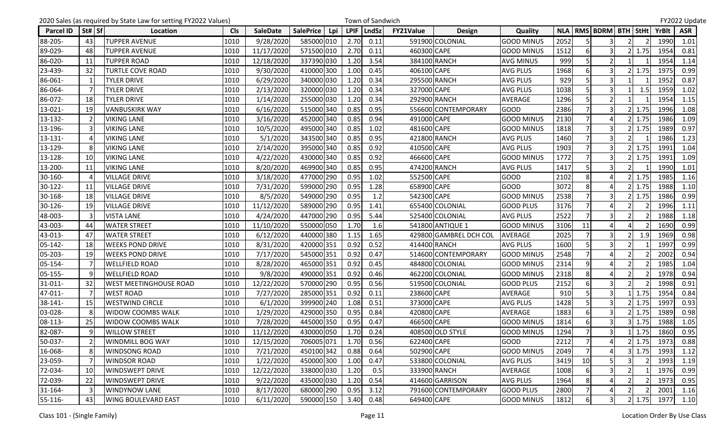|                  |          | 2020 Sales (as required by State Law for setting FY2022 Values) |            |                 |                         |             | Town of Sandwich |                  |                        |                   |      |                |                               |               |              | FY2022 Update |
|------------------|----------|-----------------------------------------------------------------|------------|-----------------|-------------------------|-------------|------------------|------------------|------------------------|-------------------|------|----------------|-------------------------------|---------------|--------------|---------------|
| <b>Parcel ID</b> | St#   Sf | Location                                                        | <b>Cls</b> | <b>SaleDate</b> | <b>SalePrice</b><br>Lpi | <b>LPIF</b> | LndSz            | <b>FY21Value</b> | <b>Design</b>          | Quality           |      |                | NLA   RMS   BDRM   BTH   StHt |               | <b>YrBlt</b> | <b>ASR</b>    |
| 88-205-          | 43       | <b>TUPPER AVENUE</b>                                            | 1010       | 9/28/2020       | 585000 010              | 2.70        | 0.11             |                  | 591900 COLONIAL        | <b>GOOD MINUS</b> | 2052 |                | 3                             |               | 1990         | 1.01          |
| 89-029-          | 48       | <b>TUPPER AVENUE</b>                                            | 1010       | 11/17/2020      | 571500 010              | 2.70        | 0.11             | 460300 CAPE      |                        | <b>GOOD MINUS</b> | 1512 |                | 3                             | 1.75          | 1954         | 0.81          |
| 86-020-          | 11       | <b>TUPPER ROAD</b>                                              | 1010       | 12/18/2020      | 337390 030              | 1.20        | 3.54             |                  | 384100 RANCH           | <b>AVG MINUS</b>  | 999  | 5              | 2 <sub>l</sub>                |               | 1954         | 1.14          |
| 23-439-          | 32       | <b>TURTLE COVE ROAD</b>                                         | 1010       | 9/30/2020       | 410000 300              | 1.00        | 0.45             | 406100 CAPE      |                        | <b>AVG PLUS</b>   | 1968 |                |                               | 1.75          | 1975         | 0.99          |
| 86-061-          |          | TYLER DRIVE                                                     | 1010       | 6/29/2020       | 340000 030              | 1.20        | 0.34             |                  | 295500 RANCH           | <b>AVG PLUS</b>   | 929  |                | 3                             |               | 1952         | 0.87          |
| 86-064-          |          | <b>TYLER DRIVE</b>                                              | 1010       | 2/13/2020       | 320000 030              | 1.20        | 0.34             | 327000 CAPE      |                        | <b>AVG PLUS</b>   | 1038 |                | 3                             | 1.5           | 1959         | 1.02          |
| 86-072-          | 18       | <b>TYLER DRIVE</b>                                              | 1010       | 1/14/2020       | 255000 030              | 1.20        | 0.34             |                  | 292900 RANCH           | AVERAGE           | 1296 | 5              | $\overline{2}$                |               | 1954         | 1.15          |
| 13-021-          | 19       | <b>VANBUSKIRK WAY</b>                                           | 1010       | 6/16/2020       | 515000 340              | 0.85        | 0.95             |                  | 556600 CONTEMPORARY    | <b>GOOD</b>       | 2386 |                |                               | 1.75          | 1996         | 1.08          |
| 13-132-          |          | <b>VIKING LANE</b>                                              | 1010       | 3/16/2020       | 452000 340              | 0.85        | 0.94             | 491000 CAPE      |                        | <b>GOOD MINUS</b> | 2130 |                | Δ                             | 1.75          | 1986         | 1.09          |
| 13-196-          |          | <b>VIKING LANE</b>                                              | 1010       | 10/5/2020       | 495000 340              | 0.85        | 1.02             | 481600 CAPE      |                        | <b>GOOD MINUS</b> | 1818 |                | 3                             | 1.75          | 1989         | 0.97          |
| 13-131-          |          | <b>VIKING LANE</b>                                              | 1010       | 5/1/2020        | 343500 340              | 0.85        | 0.95             |                  | 421800 RANCH           | <b>AVG PLUS</b>   | 1460 | $\overline{7}$ | $\overline{3}$                |               | 1986         | 1.23          |
| 13-129-          |          | <b>VIKING LANE</b>                                              | 1010       | 2/14/2020       | 395000 340              | 0.85        | 0.92             | 410500 CAPE      |                        | <b>AVG PLUS</b>   | 1903 |                |                               | 1.75          | 1991         | 1.04          |
| 13-128-          | 10       | <b>VIKING LANE</b>                                              | 1010       | 4/22/2020       | 430000 340              | 0.85        | 0.92             | 466600 CAPE      |                        | <b>GOOD MINUS</b> | 1772 |                | $\overline{\mathbf{3}}$       | 1.75          | 1991         | 1.09          |
| 13-200-          | 11       | <b>VIKING LANE</b>                                              | 1010       | 8/20/2020       | 469900 340              | 0.85        | 0.95             |                  | 474200 RANCH           | <b>AVG PLUS</b>   | 1417 | 5              | 3                             |               | 1990         | 1.01          |
| 30-160-          |          | <b>VILLAGE DRIVE</b>                                            | 1010       | 3/18/2020       | 477000 290              | 0.95        | 1.02             | 552500 CAPE      |                        | <b>GOOD</b>       | 2102 | 8              | Δ                             | 1.75          | 1985         | 1.16          |
| 30-122-          | 11       | <b>VILLAGE DRIVE</b>                                            | 1010       | 7/31/2020       | 599000 290              | 0.95        | 1.28             | 658900 CAPE      |                        | <b>GOOD</b>       | 3072 | 8              |                               | 1.75          | 1988         | 1.10          |
| 30-168-          | 18       | <b>VILLAGE DRIVE</b>                                            | 1010       | 8/5/2020        | 549000 290              | 0.95        | 1.2              | 542300 CAPE      |                        | <b>GOOD MINUS</b> | 2538 |                | $\overline{\mathsf{3}}$       | 1.75          | 1986         | 0.99          |
| 30-126-          | 19       | <b>VILLAGE DRIVE</b>                                            | 1010       | 11/12/2020      | 589000 290              | 0.95        | 1.41             |                  | 655400 COLONIAL        | <b>GOOD PLUS</b>  | 3176 |                | $\overline{a}$                |               | 1996         | 1.11          |
| 48-003-          |          | <b>VISTA LANE</b>                                               | 1010       | 4/24/2020       | 447000 290              | 0.95        | 5.44             |                  | 525400 COLONIAL        | <b>AVG PLUS</b>   | 2522 | $\overline{7}$ | $\overline{\mathbf{3}}$       |               | 1988         | 1.18          |
| 43-003-          | 44       | <b>WATER STREET</b>                                             | 1010       | 11/10/2020      | 550000 050              | 1.70        | 1.6              |                  | 541800 ANTIQUE 1       | <b>GOOD MINUS</b> | 3106 | 11             |                               |               | 1690         | 0.99          |
| 43-013-          | 47       | <b>WATER STREET</b>                                             | 1010       | 6/12/2020       | 440000 380              | 1.15        | 1.65             |                  | 429800 GAMBREL DCH COL | <b>AVERAGE</b>    | 2025 |                | 3                             | 1.9           | 1969         | 0.98          |
| 05-142-          | 18       | <b>WEEKS POND DRIVE</b>                                         | 1010       | 8/31/2020       | 420000 351              | 0.92        | 0.52             |                  | 414400 RANCH           | <b>AVG PLUS</b>   | 1600 |                | 3                             |               | 1997         | 0.99          |
| 05-203-          | 19       | <b>WEEKS POND DRIVE</b>                                         | 1010       | 7/17/2020       | 545000 351              | 0.92        | 0.47             |                  | 514600 CONTEMPORARY    | <b>GOOD MINUS</b> | 2548 |                |                               |               | 2002         | 0.94          |
| 05-154-          |          | <b>WELLFIELD ROAD</b>                                           | 1010       | 8/28/2020       | 465000 351              | 0.92        | 0.45             |                  | 484800 COLONIAL        | <b>GOOD MINUS</b> | 2314 | 9              |                               |               | 1985         | 1.04          |
| 05-155-          |          | <b>WELLFIELD ROAD</b>                                           | 1010       | 9/8/2020        | 490000 351              | 0.92        | 0.46             |                  | 462200 COLONIAL        | <b>GOOD MINUS</b> | 2318 | 8              | $\Delta$                      |               | 1978         | 0.94          |
| 31-011-          | 32       | <b>WEST MEETINGHOUSE ROAD</b>                                   | 1010       | 12/22/2020      | 570000 290              | 0.95        | 0.56             |                  | 519500 COLONIAL        | <b>GOOD PLUS</b>  | 2152 | 6              | $\overline{3}$                |               | 1998         | 0.91          |
| 47-011-          |          | <b>WEST ROAD</b>                                                | 1010       | 7/27/2020       | 285000 351              | 0.92        | 0.11             | 238600 CAPE      |                        | AVERAGE           | 910  |                | 3                             | 1.75          | 1954         | 0.84          |
| 38-141-          | 15       | <b>WESTWIND CIRCLE</b>                                          | 1010       | 6/1/2020        | 399900 240              | 1.08        | 0.51             | 373000 CAPE      |                        | <b>AVG PLUS</b>   | 1428 |                | 3                             | 1.75          | 1997         | 0.93          |
| 03-028-          |          | <b>WIDOW COOMBS WALK</b>                                        | 1010       | 1/29/2020       | 429000 350              | 0.95        | 0.84             | 420800 CAPE      |                        | AVERAGE           | 1883 | 6              | 3                             | 1.75          | 1989         | 0.98          |
| 08-113-          | 25       | <b>WIDOW COOMBS WALK</b>                                        | 1010       | 7/28/2020       | 445000 350              | 0.95        | 0.47             | 466500 CAPE      |                        | <b>GOOD MINUS</b> | 1814 | $6 \mid$       | $\overline{\mathbf{3}}$       | 1.75          | 1988         | 1.05          |
| 82-087-          | q        | <b>WILLOW STREET</b>                                            | 1010       | 11/12/2020      | 430000 050              | 1.70        | 0.24             |                  | 408500 OLD STYLE       | <b>GOOD MINUS</b> | 1294 | $\overline{7}$ | 3                             | 1.75          | 1860         | 0.95          |
| 50-037-          |          | <b>WINDMILL BOG WAY</b>                                         | 1010       | 12/15/2020      | 706005 071              | 1.70        | 0.56             | 622400 CAPE      |                        | <b>GOOD</b>       | 2212 |                | $\overline{4}$                | 1.75          | 1973         | 0.88          |
| 16-068-          |          | <b>WINDSONG ROAD</b>                                            | 1010       | 7/21/2020       | 450100 342              | 0.88        | 0.64             | 502900 CAPE      |                        | <b>GOOD MINUS</b> | 2049 |                |                               | 1.75          | 1993         | 1.12          |
| 23-059-          |          | <b>WINDSOR ROAD</b>                                             | 1010       | 1/22/2020       | 450000 300              | 1.00        | 0.47             |                  | 533800 COLONIAL        | <b>AVG PLUS</b>   | 3419 | 10             |                               |               | 1993         | 1.19          |
| 72-034-          | 10       | <b>WINDSWEPT DRIVE</b>                                          | 1010       | 12/22/2020      | 338000 030              | 1.20        | 0.5              |                  | 333900 RANCH           | AVERAGE           | 1008 |                |                               |               | 1976         | 0.99          |
| 72-039-          | 22       | <b>WINDSWEPT DRIVE</b>                                          | 1010       | 9/22/2020       | 435000 030              | 1.20        | 0.54             |                  | 414600 GARRISON        | <b>AVG PLUS</b>   | 1964 | 8              | 4                             |               | 1973         | 0.95          |
| 31-164-          |          | <b>WINDYNOW LANE</b>                                            | 1010       | 8/17/2020       | 680000 290              | 0.95        | 3.12             |                  | 791600 CONTEMPORARY    | <b>GOOD PLUS</b>  | 2800 |                | 4                             |               | 2001         | 1.16          |
| 55-116-          | 43       | <b>WING BOULEVARD EAST</b>                                      | 1010       | 6/11/2020       | 590000 150              | 3.40        | 0.48             | 649400 CAPE      |                        | <b>GOOD MINUS</b> | 1812 | 6              | 3 <sup>1</sup>                | $2 \mid 1.75$ | 1977         | 1.10          |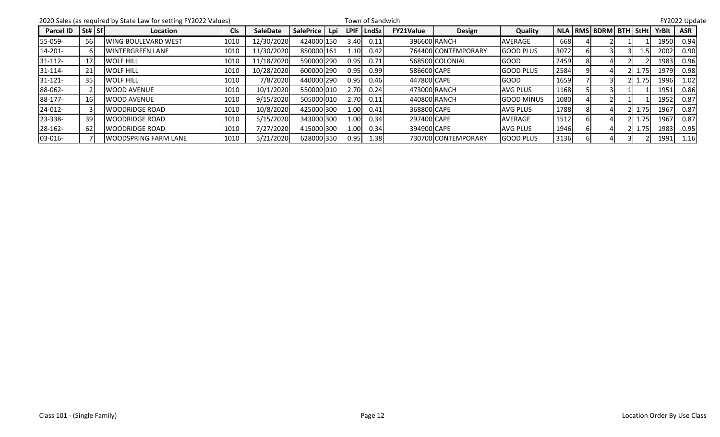|                  |                              | 2020 Sales (as required by State Law for setting FY2022 Values) |            |                 |                  |     |             | Town of Sandwich |                  |                     |                   |      |                             |      |       | FY2022 Update |  |
|------------------|------------------------------|-----------------------------------------------------------------|------------|-----------------|------------------|-----|-------------|------------------|------------------|---------------------|-------------------|------|-----------------------------|------|-------|---------------|--|
| <b>Parcel ID</b> | $\left  \text{St\#} \right $ | Location                                                        | <b>Cls</b> | <b>SaleDate</b> | <b>SalePrice</b> | Lpi | <b>LPIF</b> | LndSz            | <b>FY21Value</b> | Design              | Quality           |      | NLA   RMS  BDRM  BTH   StHt |      | YrBlt | <b>ASR</b>    |  |
| 55-059-          | 56                           | <b>IWING BOULEVARD WEST</b>                                     | 1010       | 12/30/2020      | 424000 150       |     | 3.40        | 0.11             |                  | 396600 RANCH        | <b>AVERAGE</b>    | 668  |                             |      | 1950  | 0.94          |  |
| $14 - 201 -$     |                              | lwintergreen lane                                               | 1010       | 11/30/2020      | 850000 161       |     | 1.10        | 0.42             |                  | 764400 CONTEMPORARY | <b>GOOD PLUS</b>  | 3072 |                             | 1.51 | 2002  | 0.90          |  |
| $31 - 112 -$     |                              | <b>WOLF HILL</b>                                                | 1010       | 11/18/2020      | 590000 290       |     | 0.95        | 0.71             |                  | 568500 COLONIAL     | <b>GOOD</b>       | 2459 |                             |      | 1983  | 0.96          |  |
| $31 - 114$       | 21                           | <b>WOLF HILL</b>                                                | 1010       | 10/28/2020      | 600000 290       |     | 0.95        | 0.99             | 586600 CAPE      |                     | <b>GOOD PLUS</b>  | 2584 |                             | 1.75 | 1979  | 0.98          |  |
| $31 - 121 -$     | 35                           | <b>WOLF HILL</b>                                                | 1010       | 7/8/2020        | 440000 290       |     | 0.95        | 0.46             | 447800 CAPE      |                     | <b>GOOD</b>       | 1659 |                             | 1.75 | 1996  | 1.02          |  |
| 88-062-          |                              | WOOD AVENUE                                                     | 1010       | 10/1/2020       | 5500001010       |     | 2.70        | 0.24             |                  | 473000 RANCH        | <b>AVG PLUS</b>   | 1168 |                             |      | 1951  | 0.86          |  |
| 88-177-          |                              | <b>IWOOD AVENUE</b>                                             | 1010       | 9/15/2020       | 505000 010       |     | 2.70        | 0.11             |                  | 440800 RANCH        | <b>GOOD MINUS</b> | 1080 |                             |      | 1952  | 0.87          |  |
| 24-012-          |                              | <b>WOODRIDGE ROAD</b>                                           | 1010       | 10/8/2020       | 425000 300       |     | 1.00        | 0.41             | 368800 CAPE      |                     | <b>AVG PLUS</b>   | 1788 |                             | 1.75 | 1967  | 0.87          |  |
| 23-338-          | 39                           | <b>IWOODRIDGE ROAD</b>                                          | 1010       | 5/15/2020       | 343000 300       |     | 1.00        | 0.34             | 297400 CAPE      |                     | <b>AVERAGE</b>    | 1512 |                             | 1.75 | 1967  | 0.87          |  |
| 28-162-          | 62                           | <b>WOODRIDGE ROAD</b>                                           | 1010       | 7/27/2020       | 415000 300       |     | 1.00        | 0.34             | 394900 CAPE      |                     | <b>AVG PLUS</b>   | 1946 |                             | 1.75 | 1983  | 0.95          |  |
| 03-016-          |                              | <b>WOODSPRING FARM LANE</b>                                     | 1010       | 5/21/2020       | 628000 350       |     | 0.95        | 1.38             |                  | 730700 CONTEMPORARY | <b>GOOD PLUS</b>  | 3136 |                             |      | 1991  | 1.16          |  |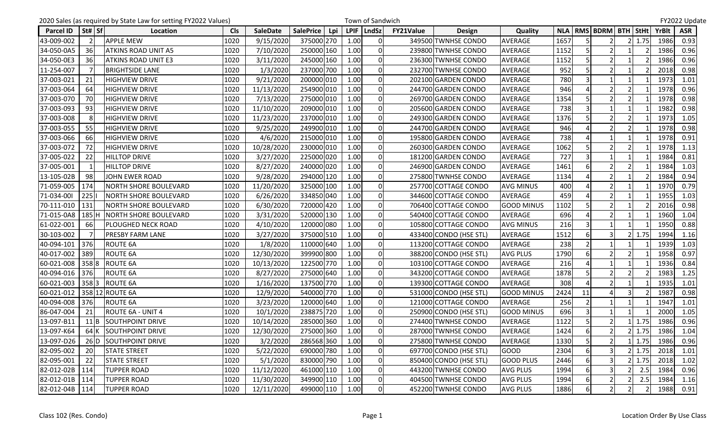|                  | 2020 Sales (as required by State Law for setting FY2022 Values) |                              |            |                 |                  |     |      |              | Town of Sandwich |                        |                   |            |                                          |   |               |              | FY2022 Update |
|------------------|-----------------------------------------------------------------|------------------------------|------------|-----------------|------------------|-----|------|--------------|------------------|------------------------|-------------------|------------|------------------------------------------|---|---------------|--------------|---------------|
| <b>Parcel ID</b> | St#   Sf                                                        | Location                     | <b>Cls</b> | <b>SaleDate</b> | <b>SalePrice</b> | Lpi |      | LPIF   LndSz | <b>FY21Value</b> | <b>Design</b>          | Quality           | <b>NLA</b> | <b>RMS BDRM BTH</b>                      |   | StHt          | <b>YrBlt</b> | <b>ASR</b>    |
| 43-009-002       | $\overline{2}$                                                  | <b>APPLE MEW</b>             | 1020       | 9/15/2020       | 375000 270       |     | 1.00 | <sup>0</sup> |                  | 349500 TWNHSE CONDO    | <b>AVERAGE</b>    | 1657       | $\mathfrak z$                            |   | 1.75          | 1986         | 0.93          |
| 34-050-0A5       | 36                                                              | <b>ATKINS ROAD UNIT A5</b>   | 1020       | 7/10/2020       | 250000 160       |     | 1.00 | <sup>0</sup> |                  | 239800 TWNHSE CONDO    | <b>AVERAGE</b>    | 1152       | $\overline{2}$                           |   |               | 1986         | 0.96          |
| 34-050-0E3       | 36                                                              | <b>ATKINS ROAD UNIT E3</b>   | 1020       | 3/11/2020       | 245000 160       |     | 1.00 |              |                  | 236300 TWNHSE CONDO    | AVERAGE           | 1152       | $\overline{2}$<br>5                      |   |               | 1986         | 0.96          |
| 11-254-007       |                                                                 | <b>BRIGHTSIDE LANE</b>       | 1020       | 1/3/2020        | 237000 700       |     | 1.00 | 0            |                  | 232700 TWNHSE CONDO    | AVERAGE           | 952        | $\overline{2}$<br>5                      |   |               | 2018         | 0.98          |
| 37-003-021       | 21                                                              | <b>HIGHVIEW DRIVE</b>        | 1020       | 9/21/2020       | 200000 010       |     | 1.00 | <sup>0</sup> |                  | 202100 GARDEN CONDO    | AVERAGE           | 780        | 3                                        |   |               | 1973         | 1.01          |
| 37-003-064       | 64                                                              | <b>HIGHVIEW DRIVE</b>        | 1020       | 11/13/2020      | 254900 010       |     | 1.00 | $\Omega$     |                  | 244700 GARDEN CONDO    | AVERAGE           | 946        | $\overline{2}$                           |   |               | 1978         | 0.96          |
| 37-003-070       | 70I                                                             | <b>HIGHVIEW DRIVE</b>        | 1020       | 7/13/2020       | 275000 010       |     | 1.00 |              |                  | 269700 GARDEN CONDO    | AVERAGE           | 1354       | $\mathfrak{p}$<br>5                      |   |               | 1978         | 0.98          |
| 37-003-093       | 93                                                              | <b>HIGHVIEW DRIVE</b>        | 1020       | 11/10/2020      | 209000 010       |     | 1.00 | <sup>0</sup> |                  | 205600 GARDEN CONDO    | <b>AVERAGE</b>    | 738        | $\overline{3}$                           |   |               | 1982         | 0.98          |
| 37-003-008       | 8                                                               | HIGHVIEW DRIVE               | 1020       | 11/23/2020      | 237000 010       |     | 1.00 |              |                  | 249300 GARDEN CONDO    | <b>AVERAGE</b>    | 1376       | $\mathfrak{p}$                           |   |               | 1973         | 1.05          |
| 37-003-055       | 55                                                              | <b>HIGHVIEW DRIVE</b>        | 1020       | 9/25/2020       | 249900 010       |     | 1.00 |              |                  | 244700 GARDEN CONDO    | <b>AVERAGE</b>    | 946        | $\overline{2}$                           |   |               | 1978         | 0.98          |
| 37-003-066       | 66I                                                             | <b>HIGHVIEW DRIVE</b>        | 1020       | 4/6/2020        | 215000 010       |     | 1.00 |              |                  | 195800 GARDEN CONDO    | AVERAGE           | 738        |                                          |   |               | 1978         | 0.91          |
| 37-003-072       | 72                                                              | <b>HIGHVIEW DRIVE</b>        | 1020       | 10/28/2020      | 230000 010       |     | 1.00 | 0            |                  | 260300 GARDEN CONDO    | AVERAGE           | 1062       | $\mathfrak{p}$                           |   |               | 1978         | 1.13          |
| 37-005-022       | 22                                                              | <b>HILLTOP DRIVE</b>         | 1020       | 3/27/2020       | 225000 020       |     | 1.00 |              |                  | 181200 GARDEN CONDO    | <b>AVERAGE</b>    | 727        |                                          |   |               | 1984         | 0.81          |
| 37-005-001       |                                                                 | <b>HILLTOP DRIVE</b>         | 1020       | 8/27/2020       | 240000 020       |     | 1.00 | O            |                  | 246900 GARDEN CONDO    | AVERAGE           | 1461       | $\overline{2}$<br>6                      |   |               | 1984         | 1.03          |
| 13-105-02B       | 98                                                              | JOHN EWER ROAD               | 1020       | 9/28/2020       | 294000 120       |     | 1.00 | 0            |                  | 275800 TWNHSE CONDO    | AVERAGE           | 1134       | 2 <sub>l</sub><br>$\boldsymbol{\Lambda}$ |   |               | 1984         | 0.94          |
| 71-059-005       | 174                                                             | NORTH SHORE BOULEVARD        | 1020       | 11/20/2020      | 325000 100       |     | 1.00 |              |                  | 257700 COTTAGE CONDO   | <b>AVG MINUS</b>  | 400        |                                          |   |               | 1970         | 0.79          |
| 71-034-001       | 225                                                             | <b>NORTH SHORE BOULEVARD</b> | 1020       | 6/26/2020       | 334850 040       |     | 1.00 |              |                  | 344600 COTTAGE CONDO   | AVERAGE           | 459        | $\overline{2}$                           |   |               | 1955         | 1.03          |
| 70-111-010       | 131                                                             | NORTH SHORE BOULEVARD        | 1020       | 6/30/2020       | 720000 420       |     | 1.00 |              |                  | 706400 COTTAGE CONDO   | <b>GOOD MINUS</b> | 1102       | $\mathfrak{p}$                           |   |               | 2016         | 0.98          |
| 71-015-0A8       | 185H                                                            | NORTH SHORE BOULEVARD        | 1020       | 3/31/2020       | 520000 130       |     | 1.00 | 0            |                  | 540400 COTTAGE CONDO   | <b>AVERAGE</b>    | 696        | $\overline{2}$                           |   |               | 1960         | 1.04          |
| 61-022-001       | 661                                                             | PLOUGHED NECK ROAD           | 1020       | 4/10/2020       | 120000 080       |     | 1.00 |              |                  | 105800 COTTAGE CONDO   | <b>AVG MINUS</b>  | 216        |                                          |   |               | 1950         | 0.88          |
| 30-103-002       |                                                                 | <b>PRESBY FARM LANE</b>      | 1020       | 3/27/2020       | 375000 510       |     | 1.00 |              |                  | 433400 CONDO (HSE STL) | AVERAGE           | 1512       | 3<br>6                                   |   | 1.75          | 1994         | 1.16          |
| 40-094-101       | 376                                                             | <b>ROUTE 6A</b>              | 1020       | 1/8/2020        | 110000 640       |     | 1.00 |              |                  | 113200 COTTAGE CONDO   | AVERAGE           | 238        | $\overline{2}$                           |   |               | 1939         | 1.03          |
| 40-017-002       | 389                                                             | <b>ROUTE 6A</b>              | 1020       | 12/30/2020      | 399900 800       |     | 1.00 | 0            |                  | 388200 CONDO (HSE STL) | <b>AVG PLUS</b>   | 1790       | $6 \mid$<br>$\mathfrak{p}$               |   |               | 1958         | 0.97          |
| 60-021-008       | 3588                                                            | <b>ROUTE 6A</b>              | 1020       | 10/13/2020      | 122500 770       |     | 1.00 |              |                  | 103100 COTTAGE CONDO   | AVERAGE           | 216        |                                          |   |               | 1936         | 0.84          |
| 40-094-016       | 376                                                             | <b>ROUTE 6A</b>              | 1020       | 8/27/2020       | 275000 640       |     | 1.00 | 0            |                  | 343200 COTTAGE CONDO   | AVERAGE           | 1878       | 2                                        |   |               | 1983         | 1.25          |
| 60-021-003       | 3583                                                            | <b>ROUTE 6A</b>              | 1020       | 1/16/2020       | 137500 770       |     | 1.00 | $\Omega$     |                  | 139300 COTTAGE CONDO   | <b>AVERAGE</b>    | 308        | $\mathfrak{p}$<br>$\boldsymbol{\Lambda}$ |   |               | 1935         | 1.01          |
| 60-021-012       |                                                                 | 358 12 ROUTE 6A              | 1020       | 12/9/2020       | 540000 770       |     | 1.00 | 0            |                  | 531000 CONDO (HSE STL) | <b>GOOD MINUS</b> | 2424       | 11<br>Δ                                  |   |               | 1987         | 0.98          |
| 40-094-008       | 376                                                             | <b>ROUTE 6A</b>              | 1020       | 3/23/2020       | 120000 640       |     | 1.00 | <sup>0</sup> |                  | 121000 COTTAGE CONDO   | AVERAGE           | 256        | $\overline{2}$                           |   |               | 1947         | 1.01          |
| 86-047-004       | 21                                                              | <b>ROUTE 6A - UNIT 4</b>     | 1020       | 10/1/2020       | 238875 720       |     | 1.00 | $\Omega$     |                  | 250900 CONDO (HSE STL) | <b>GOOD MINUS</b> | 696        | 3<br>$\mathbf{1}$                        |   |               | 2000         | 1.05          |
| 13-097-B11       | 11 I B                                                          | <b>SOUTHPOINT DRIVE</b>      | 1020       | 10/14/2020      | 285000 360       |     | 1.00 |              |                  | 274400 TWNHSE CONDO    | AVERAGE           | 1122       | 5<br>$\mathfrak{p}$                      |   | 1.75          | 1986         | 0.96          |
| 13-097-K64       |                                                                 | <b>64 K SOUTHPOINT DRIVE</b> | 1020       | 12/30/2020      | 275000 360       |     | 1.00 | $\Omega$     |                  | 287000 TWNHSE CONDO    | AVERAGE           | 1424       | $\overline{2}$<br>$6 \mid$               |   | $2 \mid 1.75$ | 1986         | 1.04          |
| 13-097-D26       |                                                                 | 26 D SOUTHPOINT DRIVE        | 1020       | 3/2/2020        | 286568 360       |     | 1.00 | 0            |                  | 275800 TWNHSE CONDO    | AVERAGE           | 1330       | $\overline{2}$<br>5                      |   | 1.75          | 1986         | 0.96          |
| 82-095-002       | 20                                                              | <b>STATE STREET</b>          | 1020       | 5/22/2020       | 690000 780       |     | 1.00 | $\Omega$     |                  | 697700 CONDO (HSE STL) | <b>GOOD</b>       | 2304       | $\overline{\mathbf{3}}$<br>$6 \mid$      |   | 1.75          | 2018         | 1.01          |
| 82-095-001       | 22                                                              | <b>STATE STREET</b>          | 1020       | 5/1/2020        | 830000 790       |     | 1.00 | 0            |                  | 850400 CONDO (HSE STL) | <b>GOOD PLUS</b>  | 2446       | $\overline{\mathbf{3}}$<br>6             |   | $2 \mid 1.75$ | 2018         | 1.02          |
| 82-012-02B       | 114                                                             | <b>TUPPER ROAD</b>           | 1020       | 11/12/2020      | 461000 110       |     | 1.00 | 0            |                  | 443200 TWNHSE CONDO    | <b>AVG PLUS</b>   | 1994       | $\overline{\mathbf{3}}$<br>6             |   | 2.5           | 1984         | 0.96          |
| 82-012-01B       | 114                                                             | <b>TUPPER ROAD</b>           | 1020       | 11/30/2020      | 349900 110       |     | 1.00 |              |                  | 404500 TWNHSE CONDO    | <b>AVG PLUS</b>   | 1994       | 2                                        |   | 2.5           | 1984         | 1.16          |
| 82-012-04B       | 114                                                             | <b>TUPPER ROAD</b>           | 1020       | 12/11/2020      | 499000 110       |     | 1.00 | 0            |                  | 452200 TWNHSE CONDO    | <b>AVG PLUS</b>   | 1886       | $\overline{2}$<br>6                      | 2 |               | 1988         | 0.91          |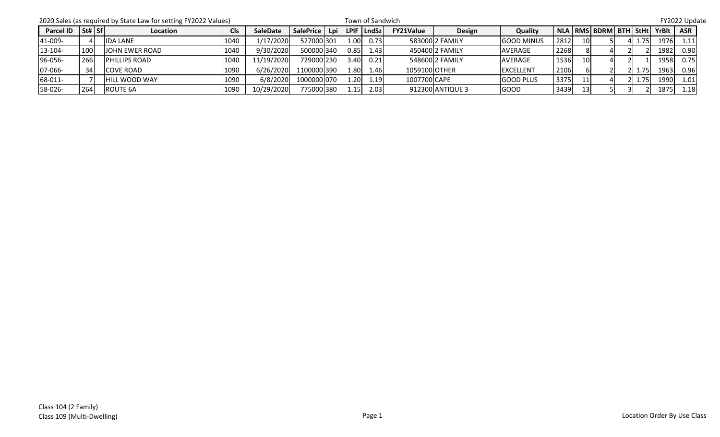|           |                                | 2020 Sales (as required by State Law for setting FY2022 Values) |            |                 | FY2022 Update |      |                    |                  |                  |                   |      |                 |                               |  |      |       |            |
|-----------|--------------------------------|-----------------------------------------------------------------|------------|-----------------|---------------|------|--------------------|------------------|------------------|-------------------|------|-----------------|-------------------------------|--|------|-------|------------|
| Parcel ID | $\vert$ St# $\vert$ Sf $\vert$ | Location                                                        | <b>Cls</b> | <b>SaleDate</b> | SalePrice     |      | Lpi   LPIF   LndSz | <b>FY21Value</b> | Design           | Quality           |      |                 | NLA   RMS   BDRM   BTH   StHt |  |      | YrBlt | <b>ASR</b> |
| 41-009-   |                                | <b>IDA LANE</b>                                                 | 1040       | 1/17/2020       | 527000 301    | 1.00 | 0.73               |                  | 583000 2 FAMILY  | <b>GOOD MINUS</b> | 2812 | 10I             |                               |  | 1.75 | 1976  | 1.11       |
| 13-104-   | 100                            | <b>JOHN EWER ROAD</b>                                           | 1040       | 9/30/2020       | 500000 340    | 0.85 | 1.43               |                  | 450400 2 FAMILY  | <b>AVERAGE</b>    | 2268 |                 |                               |  |      | 1982  | 0.90       |
| 96-056-   | 266                            | <b>IPHILLIPS ROAD</b>                                           | 1040       | 11/19/2020      | 729000 230    | 3.40 | 0.21               |                  | 548600 2 FAMILY  | AVERAGE           | 1536 | 10              |                               |  |      | 1958  | 0.75       |
| 07-066-   | 34                             | <b>COVE ROAD</b>                                                | 1090       | 6/26/2020       | 1100000 390   | 1.80 | 1.46               | 1059100 OTHER    |                  | <b>IEXCELLENT</b> | 2106 |                 |                               |  | 1.75 | 1963  | 0.96       |
| 68-011-   |                                | <b>HILL WOOD WAY</b>                                            | 1090       | 6/8/2020        | 1000000 070   | 1.20 | 1.19               | 1007700 CAPE     |                  | <b>GOOD PLUS</b>  | 3375 | 11 <sup>1</sup> |                               |  | 1.75 | 1990  | 1.01       |
| 58-026-   | 264                            | <b>ROUTE 6A</b>                                                 | 1090       | 10/29/2020      | 775000 380    | 1.15 | 2.03               |                  | 912300 ANTIQUE 3 | <b>GOOD</b>       | 3439 | 13I             |                               |  |      | 1875  | 1.18       |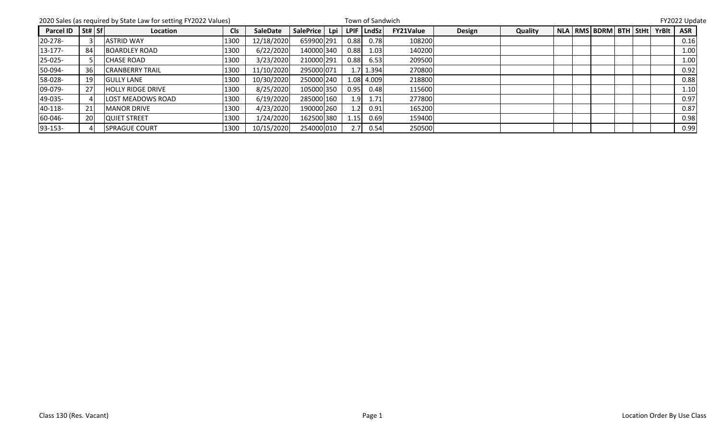|                                          |    | 2020 Sales (as required by State Law for setting FY2022 Values) |            |            |            | Town of Sandwich |                    |                  | FY2022 Update |         |  |  |                              |  |  |       |            |
|------------------------------------------|----|-----------------------------------------------------------------|------------|------------|------------|------------------|--------------------|------------------|---------------|---------|--|--|------------------------------|--|--|-------|------------|
| Parcel ID $\left  \text{St#} \right $ Sf |    | Location                                                        | <b>Cls</b> | SaleDate   | SalePrice  |                  | Lpi   LPIF   LndSz | <b>FY21Value</b> | Design        | Quality |  |  | NLA   RMS  BDRM   BTH   StHt |  |  | YrBlt | <b>ASR</b> |
| 20-278-                                  |    | <b>ASTRID WAY</b>                                               | 1300       | 12/18/2020 | 659900 291 | 0.88             | 0.78               | 108200           |               |         |  |  |                              |  |  |       | 0.16       |
| $13 - 177$                               | 84 | <b>BOARDLEY ROAD</b>                                            | 1300       | 6/22/2020  | 140000 340 | 0.88             | 1.03               | 140200           |               |         |  |  |                              |  |  |       | 1.00       |
| 25-025-                                  |    | <b>CHASE ROAD</b>                                               | 1300       | 3/23/2020  | 210000 291 | 0.88             | 6.53               | 209500           |               |         |  |  |                              |  |  |       | 1.00       |
| 50-094-                                  | 36 | <b>CRANBERRY TRAIL</b>                                          | 1300       | 11/10/2020 | 295000 071 | 1.7              | 1.394              | 270800           |               |         |  |  |                              |  |  |       | 0.92       |
| 58-028-                                  | 19 | <b>GULLY LANE</b>                                               | 1300       | 10/30/2020 | 250000 240 |                  | 1.08 4.009         | 218800           |               |         |  |  |                              |  |  |       | 0.88       |
| 09-079-                                  | 27 | <b>HOLLY RIDGE DRIVE</b>                                        | 1300       | 8/25/2020  | 105000 350 | 0.95             | 0.48               | 115600           |               |         |  |  |                              |  |  |       | 1.10       |
| 49-035-                                  |    | <b>LOST MEADOWS ROAD</b>                                        | 1300       | 6/19/2020  | 285000 160 | 1.9              | 1.71               | 277800           |               |         |  |  |                              |  |  |       | 0.97       |
| 40-118-                                  | 21 | <b>MANOR DRIVE</b>                                              | 1300       | 4/23/2020  | 190000 260 |                  | 0.91               | 165200           |               |         |  |  |                              |  |  |       | 0.87       |
| 60-046-                                  | 20 | <b>QUIET STREET</b>                                             | 1300       | 1/24/2020  | 162500 380 | 1.15             | 0.69               | 159400           |               |         |  |  |                              |  |  |       | 0.98       |
| 93-153-                                  |    | <b>SPRAGUE COURT</b>                                            | 1300       | 10/15/2020 | 254000 010 | 2.7              | 0.54               | 250500           |               |         |  |  |                              |  |  |       | 0.99       |